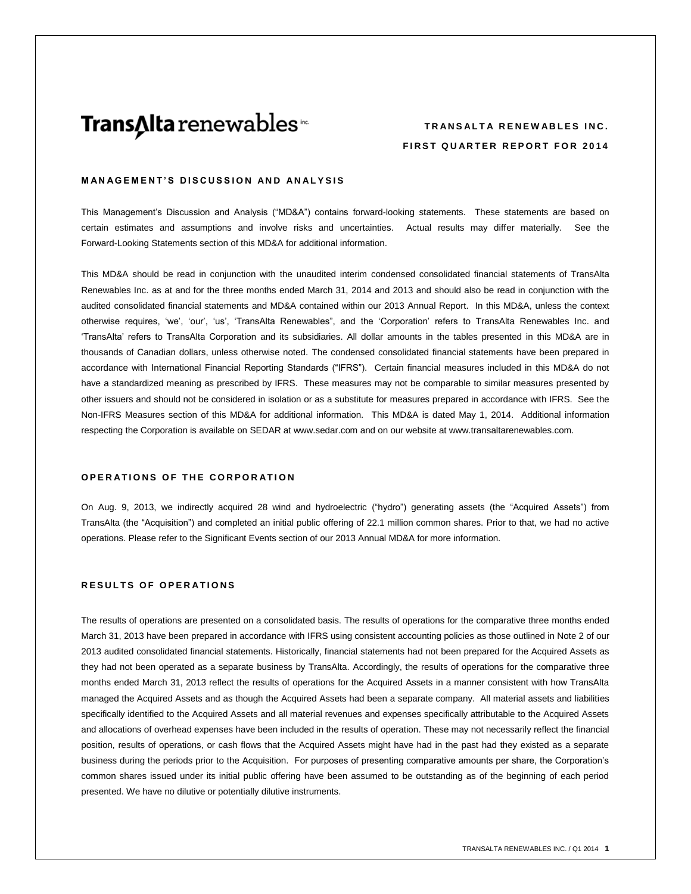# **Trans∆lta** renewables<sup>™</sup>

# **TRANSALTA RENEWABLES INC. FIRST QUARTER REPORT FOR 2014**

## **MANAGEMENT'S DISCUSSION AND ANALYSIS**

This Management's Discussion and Analysis ("MD&A") contains forward-looking statements. These statements are based on certain estimates and assumptions and involve risks and uncertainties. Actual results may differ materially. See the Forward-Looking Statements section of this MD&A for additional information.

This MD&A should be read in conjunction with the unaudited interim condensed consolidated financial statements of TransAlta Renewables Inc. as at and for the three months ended March 31, 2014 and 2013 and should also be read in conjunction with the audited consolidated financial statements and MD&A contained within our 2013 Annual Report. In this MD&A, unless the context otherwise requires, 'we', 'our', 'us', 'TransAlta Renewables", and the 'Corporation' refers to TransAlta Renewables Inc. and 'TransAlta' refers to TransAlta Corporation and its subsidiaries. All dollar amounts in the tables presented in this MD&A are in thousands of Canadian dollars, unless otherwise noted. The condensed consolidated financial statements have been prepared in accordance with International Financial Reporting Standards ("IFRS"). Certain financial measures included in this MD&A do not have a standardized meaning as prescribed by IFRS. These measures may not be comparable to similar measures presented by other issuers and should not be considered in isolation or as a substitute for measures prepared in accordance with IFRS. See the Non-IFRS Measures section of this MD&A for additional information. This MD&A is dated May 1, 2014. Additional information respecting the Corporation is available on SEDAR at [www.sedar.com](http://www.sedar.com/) and on our website at www.transaltarenewables.com.

#### **OPERATIONS OF THE CORPORATION**

On Aug. 9, 2013, we indirectly acquired 28 wind and hydroelectric ("hydro") generating assets (the "Acquired Assets") from TransAlta (the "Acquisition") and completed an initial public offering of 22.1 million common shares. Prior to that, we had no active operations. Please refer to the Significant Events section of our 2013 Annual MD&A for more information.

## **RESULTS OF OPERATIONS**

The results of operations are presented on a consolidated basis. The results of operations for the comparative three months ended March 31, 2013 have been prepared in accordance with IFRS using consistent accounting policies as those outlined in Note 2 of our 2013 audited consolidated financial statements. Historically, financial statements had not been prepared for the Acquired Assets as they had not been operated as a separate business by TransAlta. Accordingly, the results of operations for the comparative three months ended March 31, 2013 reflect the results of operations for the Acquired Assets in a manner consistent with how TransAlta managed the Acquired Assets and as though the Acquired Assets had been a separate company. All material assets and liabilities specifically identified to the Acquired Assets and all material revenues and expenses specifically attributable to the Acquired Assets and allocations of overhead expenses have been included in the results of operation. These may not necessarily reflect the financial position, results of operations, or cash flows that the Acquired Assets might have had in the past had they existed as a separate business during the periods prior to the Acquisition. For purposes of presenting comparative amounts per share, the Corporation's common shares issued under its initial public offering have been assumed to be outstanding as of the beginning of each period presented. We have no dilutive or potentially dilutive instruments.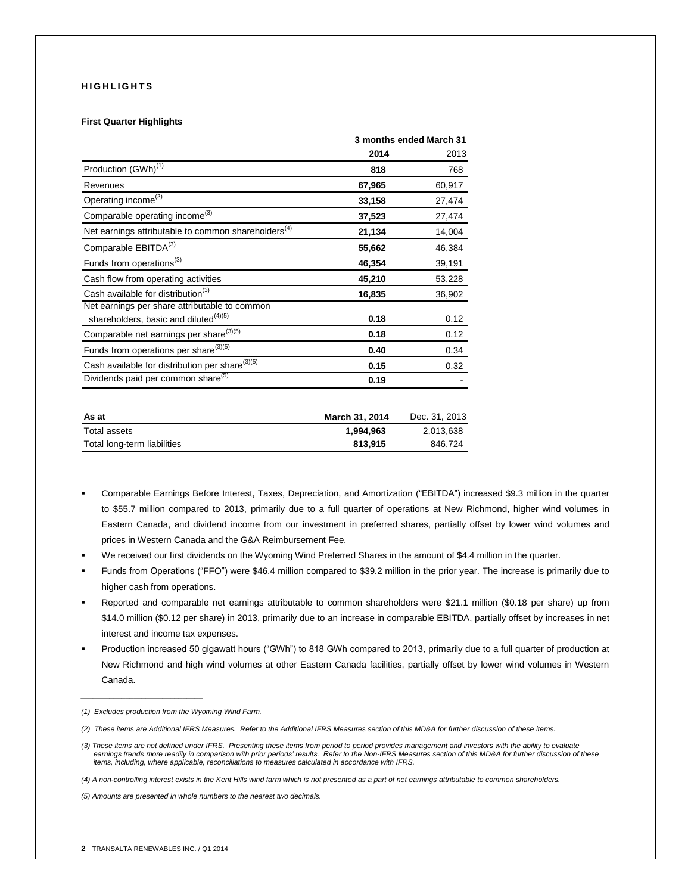## **H I G H L I G H T S**

#### **First Quarter Highlights**

|                                                                 |                | 3 months ended March 31  |
|-----------------------------------------------------------------|----------------|--------------------------|
|                                                                 | 2014           | 2013                     |
| Production (GWh) <sup>(1)</sup>                                 | 818            | 768                      |
| Revenues                                                        | 67,965         | 60,917                   |
| Operating income <sup>(2)</sup>                                 | 33,158         | 27,474                   |
| Comparable operating income <sup>(3)</sup>                      | 37,523         | 27,474                   |
| Net earnings attributable to common shareholders <sup>(4)</sup> | 21,134         | 14,004                   |
| Comparable EBITDA <sup>(3)</sup>                                | 55,662         | 46,384                   |
| Funds from operations <sup>(3)</sup>                            | 46,354         | 39,191                   |
| Cash flow from operating activities                             | 45,210         | 53,228                   |
| Cash available for distribution <sup>(3)</sup>                  | 16,835         | 36,902                   |
| Net earnings per share attributable to common                   |                |                          |
| shareholders, basic and diluted <sup>(4)(5)</sup>               | 0.18           | 0.12                     |
| Comparable net earnings per share <sup>(3)(5)</sup>             | 0.18           | 0.12                     |
| Funds from operations per share <sup>(3)(5)</sup>               | 0.40           | 0.34                     |
| Cash available for distribution per share <sup>(3)(5)</sup>     | 0.15           | 0.32                     |
| Dividends paid per common share <sup>(5)</sup>                  | 0.19           |                          |
|                                                                 |                |                          |
| $A - 1$                                                         | Magal 94, 9044 | D <sub>ag</sub> 24, 2042 |

| As at                       | March 31, 2014 | Dec. 31, 2013 |
|-----------------------------|----------------|---------------|
| Total assets                | 1.994.963      | 2.013.638     |
| Total long-term liabilities | 813.915        | 846.724       |

- Comparable Earnings Before Interest, Taxes, Depreciation, and Amortization ("EBITDA") increased \$9.3 million in the quarter to \$55.7 million compared to 2013, primarily due to a full quarter of operations at New Richmond, higher wind volumes in Eastern Canada, and dividend income from our investment in preferred shares, partially offset by lower wind volumes and prices in Western Canada and the G&A Reimbursement Fee.
- We received our first dividends on the Wyoming Wind Preferred Shares in the amount of \$4.4 million in the quarter.
- Funds from Operations ("FFO") were \$46.4 million compared to \$39.2 million in the prior year. The increase is primarily due to higher cash from operations.
- Reported and comparable net earnings attributable to common shareholders were \$21.1 million (\$0.18 per share) up from \$14.0 million (\$0.12 per share) in 2013, primarily due to an increase in comparable EBITDA, partially offset by increases in net interest and income tax expenses.
- Production increased 50 gigawatt hours ("GWh") to 818 GWh compared to 2013, primarily due to a full quarter of production at New Richmond and high wind volumes at other Eastern Canada facilities, partially offset by lower wind volumes in Western Canada.

*\_\_\_\_\_\_\_\_\_\_\_\_\_\_\_\_\_\_\_\_\_\_\_\_\_\_\_\_\_\_*

*<sup>(1)</sup> Excludes production from the Wyoming Wind Farm.*

*<sup>(2)</sup> These items are Additional IFRS Measures. Refer to the Additional IFRS Measures section of this MD&A for further discussion of these items.*

*<sup>(3)</sup> These items are not defined under IFRS. Presenting these items from period to period provides management and investors with the ability to evaluate*  earnings trends more readily in comparison with prior periods' results. Refer to the Non-IFRS Measures section of this MD&A for further discussion of these  *items, including, where applicable, reconciliations to measures calculated in accordance with IFRS.* 

*<sup>(4)</sup> A non-controlling interest exists in the Kent Hills wind farm which is not presented as a part of net earnings attributable to common shareholders.*

*<sup>(5)</sup> Amounts are presented in whole numbers to the nearest two decimals.*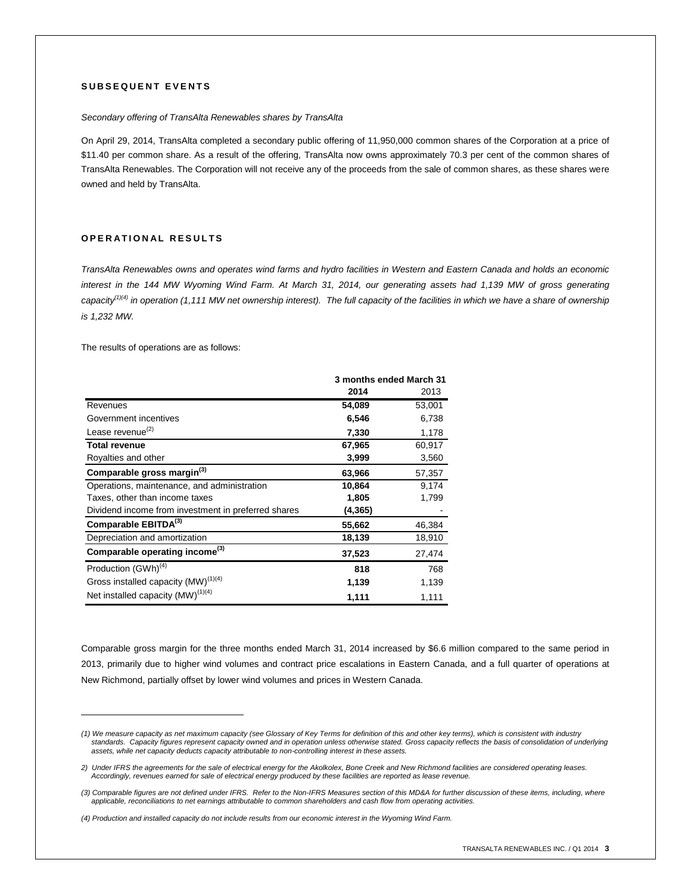## **S U B S E Q U E N T E V E N T S**

#### *Secondary offering of TransAlta Renewables shares by TransAlta*

On April 29, 2014, TransAlta completed a secondary public offering of 11,950,000 common shares of the Corporation at a price of \$11.40 per common share. As a result of the offering, TransAlta now owns approximately 70.3 per cent of the common shares of TransAlta Renewables. The Corporation will not receive any of the proceeds from the sale of common shares, as these shares were owned and held by TransAlta.

## **O P E R A T I O N A L R E S U L T S**

*TransAlta Renewables owns and operates wind farms and hydro facilities in Western and Eastern Canada and holds an economic interest in the 144 MW Wyoming Wind Farm. At March 31, 2014, our generating assets had 1,139 MW of gross generating capacity(1)(4) in operation (1,111 MW net ownership interest). The full capacity of the facilities in which we have a share of ownership is 1,232 MW.*

The results of operations are as follows:

 $\overline{a}$ 

|                                                     | 3 months ended March 31 |        |
|-----------------------------------------------------|-------------------------|--------|
|                                                     | 2014                    | 2013   |
| Revenues                                            | 54,089                  | 53,001 |
| Government incentives                               | 6,546                   | 6,738  |
| Lease revenue <sup>(2)</sup>                        | 7,330                   | 1,178  |
| <b>Total revenue</b>                                | 67,965                  | 60,917 |
| Royalties and other                                 | 3,999                   | 3,560  |
| Comparable gross margin <sup>(3)</sup>              | 63,966                  | 57,357 |
| Operations, maintenance, and administration         | 10,864                  | 9,174  |
| Taxes, other than income taxes                      | 1,805                   | 1,799  |
| Dividend income from investment in preferred shares | (4,365)                 |        |
| Comparable EBITDA(3)                                | 55,662                  | 46,384 |
| Depreciation and amortization                       | 18,139                  | 18,910 |
| Comparable operating income <sup>(3)</sup>          | 37,523                  | 27,474 |
| Production (GWh) <sup>(4)</sup>                     | 818                     | 768    |
| Gross installed capacity (MW) <sup>(1)(4)</sup>     | 1,139                   | 1,139  |
| Net installed capacity (MW) <sup>(1)(4)</sup>       | 1,111                   | 1,111  |

Comparable gross margin for the three months ended March 31, 2014 increased by \$6.6 million compared to the same period in 2013, primarily due to higher wind volumes and contract price escalations in Eastern Canada, and a full quarter of operations at New Richmond, partially offset by lower wind volumes and prices in Western Canada.

*<sup>(1)</sup> We measure capacity as net maximum capacity (see Glossary of Key Terms for definition of this and other key terms), which is consistent with industry standards. Capacity figures represent capacity owned and in operation unless otherwise stated. Gross capacity reflects the basis of consolidation of underlying assets, while net capacity deducts capacity attributable to non-controlling interest in these assets.*

*<sup>2)</sup> Under IFRS the agreements for the sale of electrical energy for the Akolkolex, Bone Creek and New Richmond facilities are considered operating leases. Accordingly, revenues earned for sale of electrical energy produced by these facilities are reported as lease revenue.*

*<sup>(3)</sup> Comparable figures are not defined under IFRS. Refer to the Non-IFRS Measures section of this MD&A for further discussion of these items, including, where applicable, reconciliations to net earnings attributable to common shareholders and cash flow from operating activities.*

*<sup>(4)</sup> Production and installed capacity do not include results from our economic interest in the Wyoming Wind Farm.*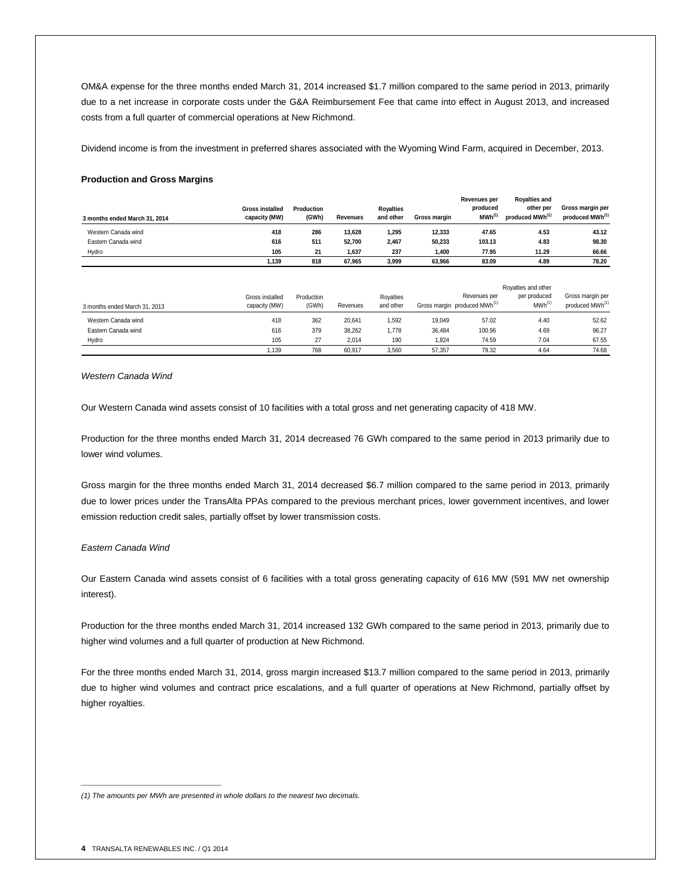OM&A expense for the three months ended March 31, 2014 increased \$1.7 million compared to the same period in 2013, primarily due to a net increase in corporate costs under the G&A Reimbursement Fee that came into effect in August 2013, and increased costs from a full quarter of commercial operations at New Richmond.

Dividend income is from the investment in preferred shares associated with the Wyoming Wind Farm, acquired in December, 2013.

#### **Production and Gross Margins**

| 3 months ended March 31, 2014 | <b>Gross installed</b><br>capacity (MW) | Production<br>(GWh) | Revenues | <b>Rovalties</b><br>and other | Gross margin | Revenues per<br>produced<br>$MWh^{(1)}$ | <b>Rovalties and</b><br>other per<br>produced MWh <sup>(1)</sup> | Gross margin per<br>produced MWh <sup>(1)</sup> |
|-------------------------------|-----------------------------------------|---------------------|----------|-------------------------------|--------------|-----------------------------------------|------------------------------------------------------------------|-------------------------------------------------|
| Western Canada wind           | 418                                     | 286                 | 13.628   | 1,295                         | 12.333       | 47.65                                   | 4.53                                                             | 43.12                                           |
| Eastern Canada wind           | 616                                     | 511                 | 52.700   | 2.467                         | 50.233       | 103.13                                  | 4.83                                                             | 98.30                                           |
| Hydro                         | 105                                     | 21                  | 1.637    | 237                           | 1.400        | 77.95                                   | 11.29                                                            | 66.66                                           |
|                               | 1.139                                   | 818                 | 67.965   | 3,999                         | 63.966       | 83.09                                   | 4.89                                                             | 78.20                                           |

|                               |                                  |                     |          |                        |        |                                                          | Royalties and other                |                                                 |
|-------------------------------|----------------------------------|---------------------|----------|------------------------|--------|----------------------------------------------------------|------------------------------------|-------------------------------------------------|
| 3 months ended March 31, 2013 | Gross installed<br>capacity (MW) | Production<br>(GWh) | Revenues | Rovalties<br>and other |        | Revenues per<br>Gross margin produced MWh <sup>(1)</sup> | per produced<br>MWh <sup>(1)</sup> | Gross margin per<br>produced MWh <sup>(1)</sup> |
| Western Canada wind           | 418                              | 362                 | 20,641   | .592                   | 19.049 | 57.02                                                    | 4.40                               | 52.62                                           |
| Eastern Canada wind           | 616                              | 379                 | 38,262   | 1.778                  | 36.484 | 100.96                                                   | 4.69                               | 96.27                                           |
| Hydro                         | 105                              | 27                  | 2.014    | 190                    | 1.824  | 74.59                                                    | 7.04                               | 67.55                                           |
|                               | .139                             | 768                 | 60.917   | 3.560                  | 57.357 | 79.32                                                    | 4.64                               | 74.68                                           |

*Western Canada Wind*

Our Western Canada wind assets consist of 10 facilities with a total gross and net generating capacity of 418 MW.

Production for the three months ended March 31, 2014 decreased 76 GWh compared to the same period in 2013 primarily due to lower wind volumes.

Gross margin for the three months ended March 31, 2014 decreased \$6.7 million compared to the same period in 2013, primarily due to lower prices under the TransAlta PPAs compared to the previous merchant prices, lower government incentives, and lower emission reduction credit sales, partially offset by lower transmission costs.

#### *Eastern Canada Wind*

Our Eastern Canada wind assets consist of 6 facilities with a total gross generating capacity of 616 MW (591 MW net ownership interest).

Production for the three months ended March 31, 2014 increased 132 GWh compared to the same period in 2013, primarily due to higher wind volumes and a full quarter of production at New Richmond.

For the three months ended March 31, 2014, gross margin increased \$13.7 million compared to the same period in 2013, primarily due to higher wind volumes and contract price escalations, and a full quarter of operations at New Richmond, partially offset by higher royalties.

*\_\_\_\_\_\_\_\_\_\_\_\_\_\_\_\_\_\_\_\_\_\_\_\_\_\_\_\_*

*<sup>(1)</sup> The amounts per MWh are presented in whole dollars to the nearest two decimals.*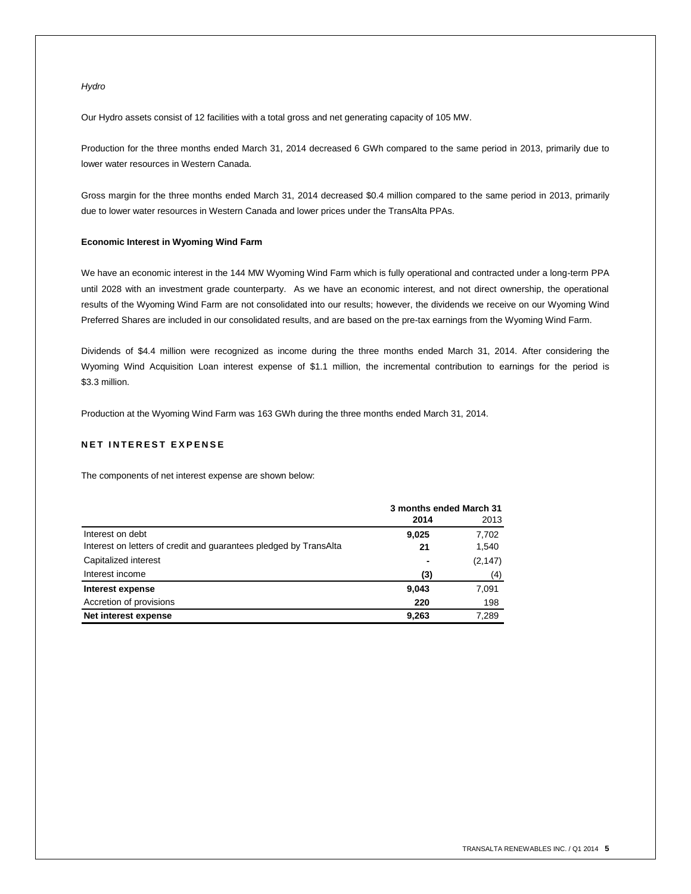## *Hydro*

Our Hydro assets consist of 12 facilities with a total gross and net generating capacity of 105 MW.

Production for the three months ended March 31, 2014 decreased 6 GWh compared to the same period in 2013, primarily due to lower water resources in Western Canada.

Gross margin for the three months ended March 31, 2014 decreased \$0.4 million compared to the same period in 2013, primarily due to lower water resources in Western Canada and lower prices under the TransAlta PPAs.

## **Economic Interest in Wyoming Wind Farm**

We have an economic interest in the 144 MW Wyoming Wind Farm which is fully operational and contracted under a long-term PPA until 2028 with an investment grade counterparty. As we have an economic interest, and not direct ownership, the operational results of the Wyoming Wind Farm are not consolidated into our results; however, the dividends we receive on our Wyoming Wind Preferred Shares are included in our consolidated results, and are based on the pre-tax earnings from the Wyoming Wind Farm.

Dividends of \$4.4 million were recognized as income during the three months ended March 31, 2014. After considering the Wyoming Wind Acquisition Loan interest expense of \$1.1 million, the incremental contribution to earnings for the period is \$3.3 million.

Production at the Wyoming Wind Farm was 163 GWh during the three months ended March 31, 2014.

## **NET INTEREST EXPENSE**

The components of net interest expense are shown below:

|                                                                   | 3 months ended March 31 |          |  |
|-------------------------------------------------------------------|-------------------------|----------|--|
|                                                                   | 2014                    | 2013     |  |
| Interest on debt                                                  | 9,025                   | 7,702    |  |
| Interest on letters of credit and quarantees pledged by TransAlta | 21                      | 1,540    |  |
| Capitalized interest                                              | -                       | (2, 147) |  |
| Interest income                                                   | (3)                     | (4)      |  |
| Interest expense                                                  | 9,043                   | 7,091    |  |
| Accretion of provisions                                           | 220                     | 198      |  |
| Net interest expense                                              | 9,263                   | 7.289    |  |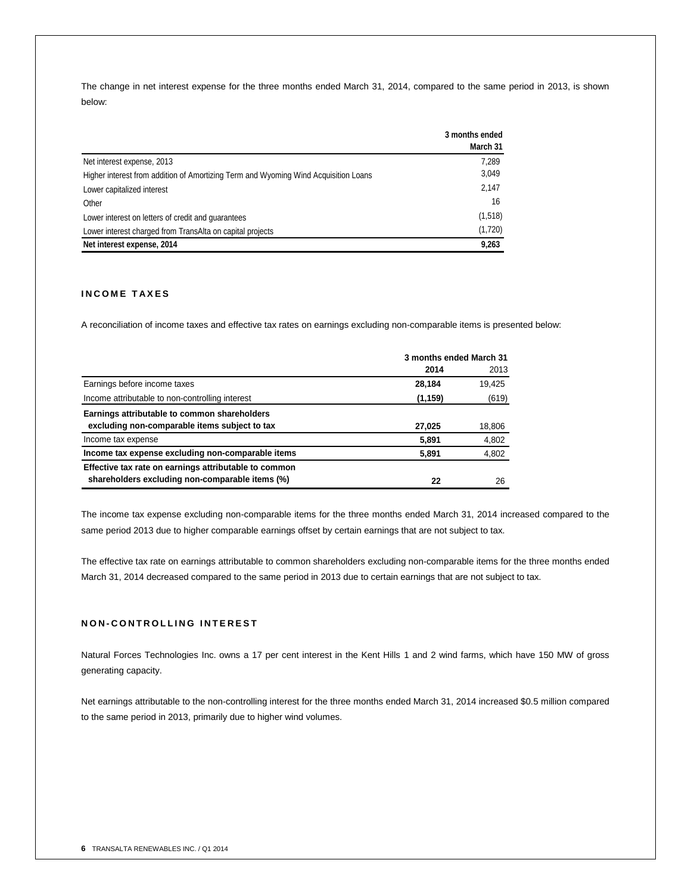The change in net interest expense for the three months ended March 31, 2014, compared to the same period in 2013, is shown below:

|                                                                                     | 3 months ended |
|-------------------------------------------------------------------------------------|----------------|
|                                                                                     | March 31       |
| Net interest expense, 2013                                                          | 7,289          |
| Higher interest from addition of Amortizing Term and Wyoming Wind Acquisition Loans | 3,049          |
| Lower capitalized interest                                                          | 2,147          |
| Other                                                                               | 16             |
| Lower interest on letters of credit and quarantees                                  | (1,518)        |
| Lower interest charged from TransAlta on capital projects                           | (1,720)        |
| Net interest expense, 2014                                                          | 9,263          |

## **I N C O M E T A X E S**

A reconciliation of income taxes and effective tax rates on earnings excluding non-comparable items is presented below:

|                                                       | 3 months ended March 31 |        |  |
|-------------------------------------------------------|-------------------------|--------|--|
|                                                       | 2014                    | 2013   |  |
| Earnings before income taxes                          | 28.184                  | 19.425 |  |
| Income attributable to non-controlling interest       | (1, 159)                | (619)  |  |
| Earnings attributable to common shareholders          |                         |        |  |
| excluding non-comparable items subject to tax         | 27,025                  | 18,806 |  |
| Income tax expense                                    | 5,891                   | 4,802  |  |
| Income tax expense excluding non-comparable items     | 5,891                   | 4,802  |  |
| Effective tax rate on earnings attributable to common |                         |        |  |
| shareholders excluding non-comparable items (%)       | 22                      | 26     |  |

The income tax expense excluding non-comparable items for the three months ended March 31, 2014 increased compared to the same period 2013 due to higher comparable earnings offset by certain earnings that are not subject to tax.

The effective tax rate on earnings attributable to common shareholders excluding non-comparable items for the three months ended March 31, 2014 decreased compared to the same period in 2013 due to certain earnings that are not subject to tax.

### **N O N - C O N T R O L L I N G I N T E R E S T**

Natural Forces Technologies Inc. owns a 17 per cent interest in the Kent Hills 1 and 2 wind farms, which have 150 MW of gross generating capacity.

Net earnings attributable to the non-controlling interest for the three months ended March 31, 2014 increased \$0.5 million compared to the same period in 2013, primarily due to higher wind volumes.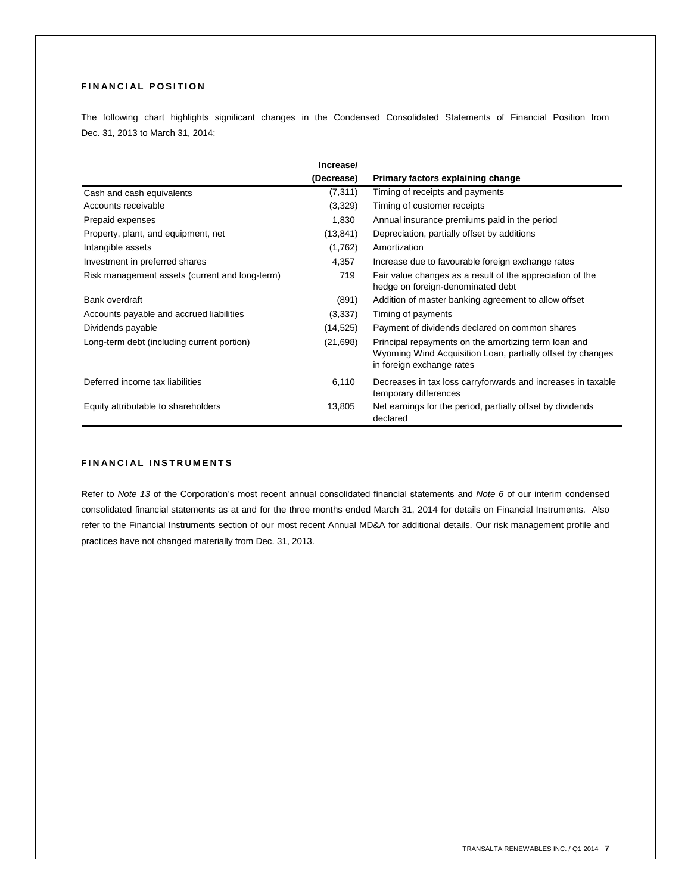## **FINANCIAL POSITION**

The following chart highlights significant changes in the Condensed Consolidated Statements of Financial Position from Dec. 31, 2013 to March 31, 2014:

|                                                | Increase/  |                                                                                                                                                 |
|------------------------------------------------|------------|-------------------------------------------------------------------------------------------------------------------------------------------------|
|                                                | (Decrease) | Primary factors explaining change                                                                                                               |
| Cash and cash equivalents                      | (7, 311)   | Timing of receipts and payments                                                                                                                 |
| Accounts receivable                            | (3,329)    | Timing of customer receipts                                                                                                                     |
| Prepaid expenses                               | 1,830      | Annual insurance premiums paid in the period                                                                                                    |
| Property, plant, and equipment, net            | (13, 841)  | Depreciation, partially offset by additions                                                                                                     |
| Intangible assets                              | (1,762)    | Amortization                                                                                                                                    |
| Investment in preferred shares                 | 4,357      | Increase due to favourable foreign exchange rates                                                                                               |
| Risk management assets (current and long-term) | 719        | Fair value changes as a result of the appreciation of the<br>hedge on foreign-denominated debt                                                  |
| Bank overdraft                                 | (891)      | Addition of master banking agreement to allow offset                                                                                            |
| Accounts payable and accrued liabilities       | (3,337)    | Timing of payments                                                                                                                              |
| Dividends payable                              | (14, 525)  | Payment of dividends declared on common shares                                                                                                  |
| Long-term debt (including current portion)     | (21,698)   | Principal repayments on the amortizing term loan and<br>Wyoming Wind Acquisition Loan, partially offset by changes<br>in foreign exchange rates |
| Deferred income tax liabilities                | 6,110      | Decreases in tax loss carryforwards and increases in taxable<br>temporary differences                                                           |
| Equity attributable to shareholders            | 13,805     | Net earnings for the period, partially offset by dividends<br>declared                                                                          |

## **F I N A N C I A L I N S T R U M E N T S**

Refer to *Note 13* of the Corporation's most recent annual consolidated financial statements and *Note 6* of our interim condensed consolidated financial statements as at and for the three months ended March 31, 2014 for details on Financial Instruments. Also refer to the Financial Instruments section of our most recent Annual MD&A for additional details. Our risk management profile and practices have not changed materially from Dec. 31, 2013.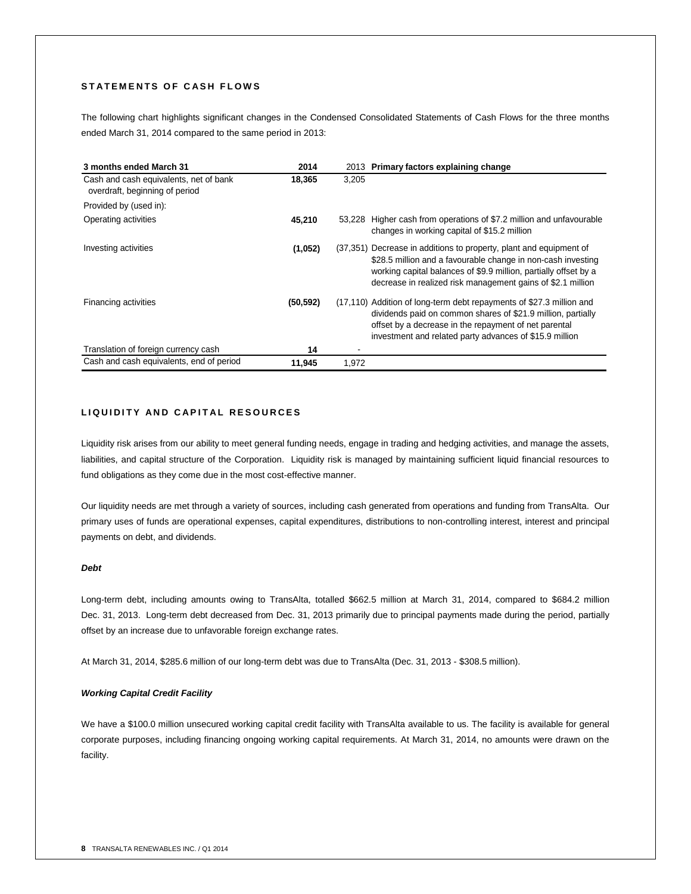## **S T A T E M E N T S O F C A S H F L O W S**

The following chart highlights significant changes in the Condensed Consolidated Statements of Cash Flows for the three months ended March 31, 2014 compared to the same period in 2013:

| 3 months ended March 31                                                  | 2014      |        | 2013 Primary factors explaining change                                                                                                                                                                                                                                |
|--------------------------------------------------------------------------|-----------|--------|-----------------------------------------------------------------------------------------------------------------------------------------------------------------------------------------------------------------------------------------------------------------------|
| Cash and cash equivalents, net of bank<br>overdraft, beginning of period | 18,365    | 3,205  |                                                                                                                                                                                                                                                                       |
| Provided by (used in):                                                   |           |        |                                                                                                                                                                                                                                                                       |
| Operating activities                                                     | 45.210    | 53.228 | Higher cash from operations of \$7.2 million and unfavourable<br>changes in working capital of \$15.2 million                                                                                                                                                         |
| Investing activities                                                     | (1,052)   |        | (37,351) Decrease in additions to property, plant and equipment of<br>\$28.5 million and a favourable change in non-cash investing<br>working capital balances of \$9.9 million, partially offset by a<br>decrease in realized risk management gains of \$2.1 million |
| Financing activities                                                     | (50, 592) |        | (17,110) Addition of long-term debt repayments of \$27.3 million and<br>dividends paid on common shares of \$21.9 million, partially<br>offset by a decrease in the repayment of net parental<br>investment and related party advances of \$15.9 million              |
| Translation of foreign currency cash                                     | 14        |        |                                                                                                                                                                                                                                                                       |
| Cash and cash equivalents, end of period                                 | 11,945    | 1,972  |                                                                                                                                                                                                                                                                       |

## **L I Q U I D I T Y A N D C A P I T A L R E S O U R C E S**

Liquidity risk arises from our ability to meet general funding needs, engage in trading and hedging activities, and manage the assets, liabilities, and capital structure of the Corporation. Liquidity risk is managed by maintaining sufficient liquid financial resources to fund obligations as they come due in the most cost-effective manner.

Our liquidity needs are met through a variety of sources, including cash generated from operations and funding from TransAlta. Our primary uses of funds are operational expenses, capital expenditures, distributions to non-controlling interest, interest and principal payments on debt, and dividends.

#### *Debt*

Long-term debt, including amounts owing to TransAlta, totalled \$662.5 million at March 31, 2014, compared to \$684.2 million Dec. 31, 2013. Long-term debt decreased from Dec. 31, 2013 primarily due to principal payments made during the period, partially offset by an increase due to unfavorable foreign exchange rates.

At March 31, 2014, \$285.6 million of our long-term debt was due to TransAlta (Dec. 31, 2013 - \$308.5 million).

#### *Working Capital Credit Facility*

We have a \$100.0 million unsecured working capital credit facility with TransAlta available to us. The facility is available for general corporate purposes, including financing ongoing working capital requirements. At March 31, 2014, no amounts were drawn on the facility.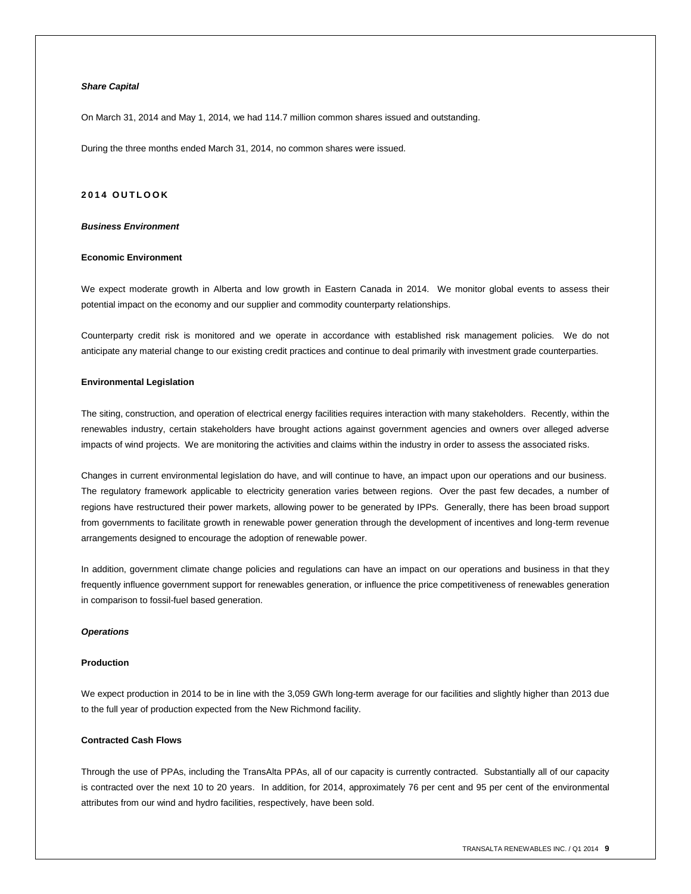## *Share Capital*

On March 31, 2014 and May 1, 2014, we had 114.7 million common shares issued and outstanding.

During the three months ended March 31, 2014, no common shares were issued.

#### **201 4 O U T L O O K**

#### *Business Environment*

#### **Economic Environment**

We expect moderate growth in Alberta and low growth in Eastern Canada in 2014. We monitor global events to assess their potential impact on the economy and our supplier and commodity counterparty relationships.

Counterparty credit risk is monitored and we operate in accordance with established risk management policies. We do not anticipate any material change to our existing credit practices and continue to deal primarily with investment grade counterparties.

#### **Environmental Legislation**

The siting, construction, and operation of electrical energy facilities requires interaction with many stakeholders. Recently, within the renewables industry, certain stakeholders have brought actions against government agencies and owners over alleged adverse impacts of wind projects. We are monitoring the activities and claims within the industry in order to assess the associated risks.

Changes in current environmental legislation do have, and will continue to have, an impact upon our operations and our business. The regulatory framework applicable to electricity generation varies between regions. Over the past few decades, a number of regions have restructured their power markets, allowing power to be generated by IPPs. Generally, there has been broad support from governments to facilitate growth in renewable power generation through the development of incentives and long-term revenue arrangements designed to encourage the adoption of renewable power.

In addition, government climate change policies and regulations can have an impact on our operations and business in that they frequently influence government support for renewables generation, or influence the price competitiveness of renewables generation in comparison to fossil-fuel based generation.

#### *Operations*

#### **Production**

We expect production in 2014 to be in line with the 3,059 GWh long-term average for our facilities and slightly higher than 2013 due to the full year of production expected from the New Richmond facility.

#### **Contracted Cash Flows**

Through the use of PPAs, including the TransAlta PPAs, all of our capacity is currently contracted. Substantially all of our capacity is contracted over the next 10 to 20 years. In addition, for 2014, approximately 76 per cent and 95 per cent of the environmental attributes from our wind and hydro facilities, respectively, have been sold.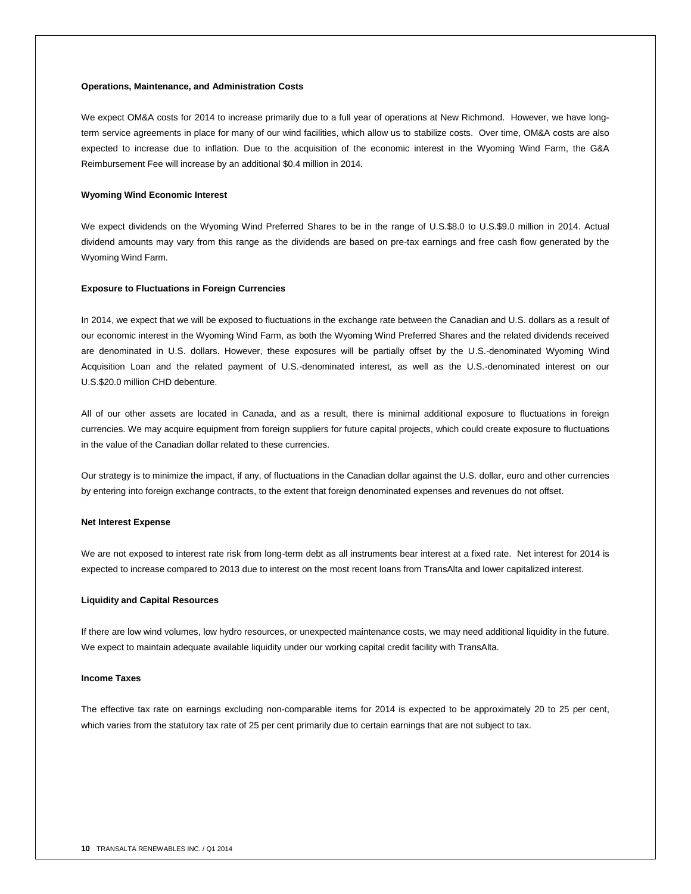#### **Operations, Maintenance, and Administration Costs**

We expect OM&A costs for 2014 to increase primarily due to a full year of operations at New Richmond. However, we have longterm service agreements in place for many of our wind facilities, which allow us to stabilize costs. Over time, OM&A costs are also expected to increase due to inflation. Due to the acquisition of the economic interest in the Wyoming Wind Farm, the G&A Reimbursement Fee will increase by an additional \$0.4 million in 2014.

#### **Wyoming Wind Economic Interest**

We expect dividends on the Wyoming Wind Preferred Shares to be in the range of U.S.\$8.0 to U.S.\$9.0 million in 2014. Actual dividend amounts may vary from this range as the dividends are based on pre-tax earnings and free cash flow generated by the Wyoming Wind Farm.

#### **Exposure to Fluctuations in Foreign Currencies**

In 2014, we expect that we will be exposed to fluctuations in the exchange rate between the Canadian and U.S. dollars as a result of our economic interest in the Wyoming Wind Farm, as both the Wyoming Wind Preferred Shares and the related dividends received are denominated in U.S. dollars. However, these exposures will be partially offset by the U.S.-denominated Wyoming Wind Acquisition Loan and the related payment of U.S.-denominated interest, as well as the U.S.-denominated interest on our U.S.\$20.0 million CHD debenture.

All of our other assets are located in Canada, and as a result, there is minimal additional exposure to fluctuations in foreign currencies. We may acquire equipment from foreign suppliers for future capital projects, which could create exposure to fluctuations in the value of the Canadian dollar related to these currencies.

Our strategy is to minimize the impact, if any, of fluctuations in the Canadian dollar against the U.S. dollar, euro and other currencies by entering into foreign exchange contracts, to the extent that foreign denominated expenses and revenues do not offset.

#### **Net Interest Expense**

We are not exposed to interest rate risk from long-term debt as all instruments bear interest at a fixed rate. Net interest for 2014 is expected to increase compared to 2013 due to interest on the most recent loans from TransAlta and lower capitalized interest.

#### **Liquidity and Capital Resources**

If there are low wind volumes, low hydro resources, or unexpected maintenance costs, we may need additional liquidity in the future. We expect to maintain adequate available liquidity under our working capital credit facility with TransAlta.

#### **Income Taxes**

The effective tax rate on earnings excluding non-comparable items for 2014 is expected to be approximately 20 to 25 per cent, which varies from the statutory tax rate of 25 per cent primarily due to certain earnings that are not subject to tax.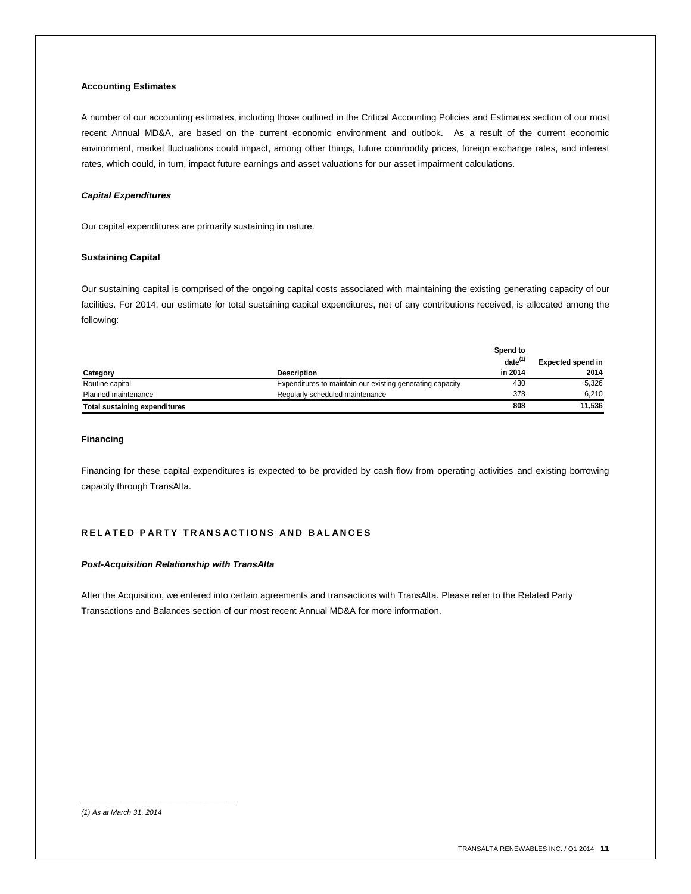## **Accounting Estimates**

A number of our accounting estimates, including those outlined in the Critical Accounting Policies and Estimates section of our most recent Annual MD&A, are based on the current economic environment and outlook. As a result of the current economic environment, market fluctuations could impact, among other things, future commodity prices, foreign exchange rates, and interest rates, which could, in turn, impact future earnings and asset valuations for our asset impairment calculations.

#### *Capital Expenditures*

Our capital expenditures are primarily sustaining in nature.

#### **Sustaining Capital**

Our sustaining capital is comprised of the ongoing capital costs associated with maintaining the existing generating capacity of our facilities. For 2014, our estimate for total sustaining capital expenditures, net of any contributions received, is allocated among the following:

|                                      |                                                           | Spend to     |                          |
|--------------------------------------|-----------------------------------------------------------|--------------|--------------------------|
|                                      |                                                           | $date^{(1)}$ | <b>Expected spend in</b> |
| Category                             | <b>Description</b>                                        | in 2014      | 2014                     |
| Routine capital                      | Expenditures to maintain our existing generating capacity | 430          | 5.326                    |
| Planned maintenance                  | Regularly scheduled maintenance                           | 378          | 6.210                    |
| <b>Total sustaining expenditures</b> |                                                           | 808          | 11.536                   |

#### **Financing**

Financing for these capital expenditures is expected to be provided by cash flow from operating activities and existing borrowing capacity through TransAlta.

## **R E L A T E D P A R T Y T R A N S A C T I O N S A N D B A L A N C E S**

#### *Post-Acquisition Relationship with TransAlta*

After the Acquisition, we entered into certain agreements and transactions with TransAlta. Please refer to the Related Party Transactions and Balances section of our most recent Annual MD&A for more information.

*\_\_\_\_\_\_\_\_\_\_\_\_\_\_\_\_\_\_\_\_\_\_\_\_\_\_\_\_\_\_\_*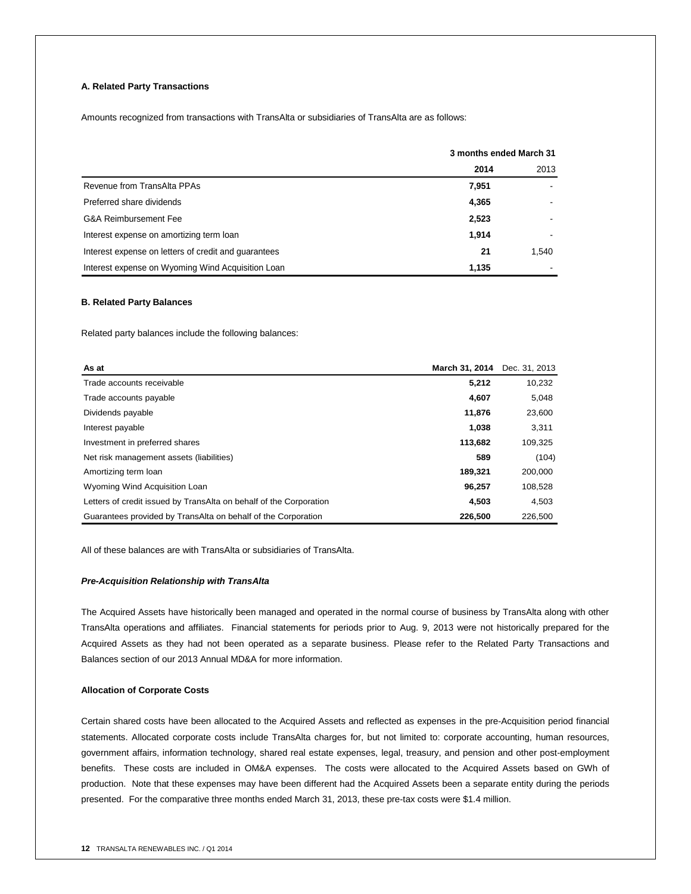## **A. Related Party Transactions**

Amounts recognized from transactions with TransAlta or subsidiaries of TransAlta are as follows:

|                                                      | 3 months ended March 31 |       |  |
|------------------------------------------------------|-------------------------|-------|--|
|                                                      | 2014                    | 2013  |  |
| Revenue from TransAlta PPAs                          | 7,951                   |       |  |
| Preferred share dividends                            | 4,365                   |       |  |
| <b>G&amp;A Reimbursement Fee</b>                     | 2,523                   |       |  |
| Interest expense on amortizing term loan             | 1,914                   |       |  |
| Interest expense on letters of credit and quarantees | 21                      | 1,540 |  |
| Interest expense on Wyoming Wind Acquisition Loan    | 1,135                   |       |  |

#### **B. Related Party Balances**

Related party balances include the following balances:

| As at                                                              | March 31, 2014 | Dec. 31, 2013 |
|--------------------------------------------------------------------|----------------|---------------|
| Trade accounts receivable                                          | 5,212          | 10,232        |
| Trade accounts payable                                             | 4,607          | 5,048         |
| Dividends payable                                                  | 11,876         | 23,600        |
| Interest payable                                                   | 1,038          | 3,311         |
| Investment in preferred shares                                     | 113.682        | 109,325       |
| Net risk management assets (liabilities)                           | 589            | (104)         |
| Amortizing term loan                                               | 189.321        | 200,000       |
| Wyoming Wind Acquisition Loan                                      | 96.257         | 108,528       |
| Letters of credit issued by TransAlta on behalf of the Corporation | 4.503          | 4.503         |
| Guarantees provided by TransAlta on behalf of the Corporation      | 226,500        | 226,500       |

All of these balances are with TransAlta or subsidiaries of TransAlta.

#### *Pre-Acquisition Relationship with TransAlta*

The Acquired Assets have historically been managed and operated in the normal course of business by TransAlta along with other TransAlta operations and affiliates. Financial statements for periods prior to Aug. 9, 2013 were not historically prepared for the Acquired Assets as they had not been operated as a separate business. Please refer to the Related Party Transactions and Balances section of our 2013 Annual MD&A for more information.

#### **Allocation of Corporate Costs**

Certain shared costs have been allocated to the Acquired Assets and reflected as expenses in the pre-Acquisition period financial statements. Allocated corporate costs include TransAlta charges for, but not limited to: corporate accounting, human resources, government affairs, information technology, shared real estate expenses, legal, treasury, and pension and other post-employment benefits. These costs are included in OM&A expenses. The costs were allocated to the Acquired Assets based on GWh of production. Note that these expenses may have been different had the Acquired Assets been a separate entity during the periods presented. For the comparative three months ended March 31, 2013, these pre-tax costs were \$1.4 million.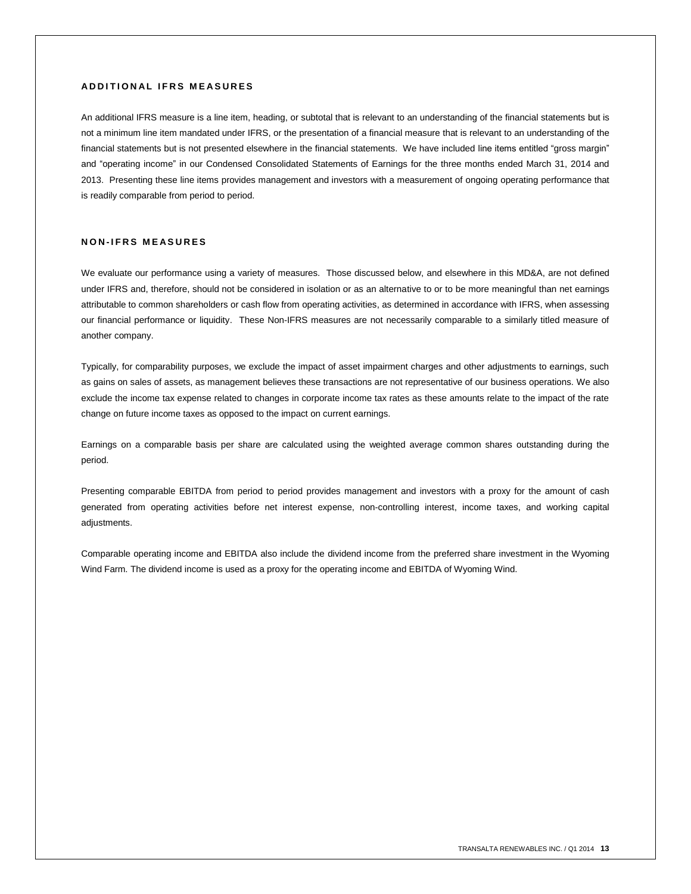## **A D D I T I O N A L I F R S M E A S U R E S**

An additional IFRS measure is a line item, heading, or subtotal that is relevant to an understanding of the financial statements but is not a minimum line item mandated under IFRS, or the presentation of a financial measure that is relevant to an understanding of the financial statements but is not presented elsewhere in the financial statements. We have included line items entitled "gross margin" and "operating income" in our Condensed Consolidated Statements of Earnings for the three months ended March 31, 2014 and 2013. Presenting these line items provides management and investors with a measurement of ongoing operating performance that is readily comparable from period to period.

## **N O N - I F R S M E A S U R E S**

We evaluate our performance using a variety of measures. Those discussed below, and elsewhere in this MD&A, are not defined under IFRS and, therefore, should not be considered in isolation or as an alternative to or to be more meaningful than net earnings attributable to common shareholders or cash flow from operating activities, as determined in accordance with IFRS, when assessing our financial performance or liquidity. These Non-IFRS measures are not necessarily comparable to a similarly titled measure of another company.

Typically, for comparability purposes, we exclude the impact of asset impairment charges and other adjustments to earnings, such as gains on sales of assets, as management believes these transactions are not representative of our business operations. We also exclude the income tax expense related to changes in corporate income tax rates as these amounts relate to the impact of the rate change on future income taxes as opposed to the impact on current earnings.

Earnings on a comparable basis per share are calculated using the weighted average common shares outstanding during the period.

Presenting comparable EBITDA from period to period provides management and investors with a proxy for the amount of cash generated from operating activities before net interest expense, non-controlling interest, income taxes, and working capital adjustments.

Comparable operating income and EBITDA also include the dividend income from the preferred share investment in the Wyoming Wind Farm. The dividend income is used as a proxy for the operating income and EBITDA of Wyoming Wind.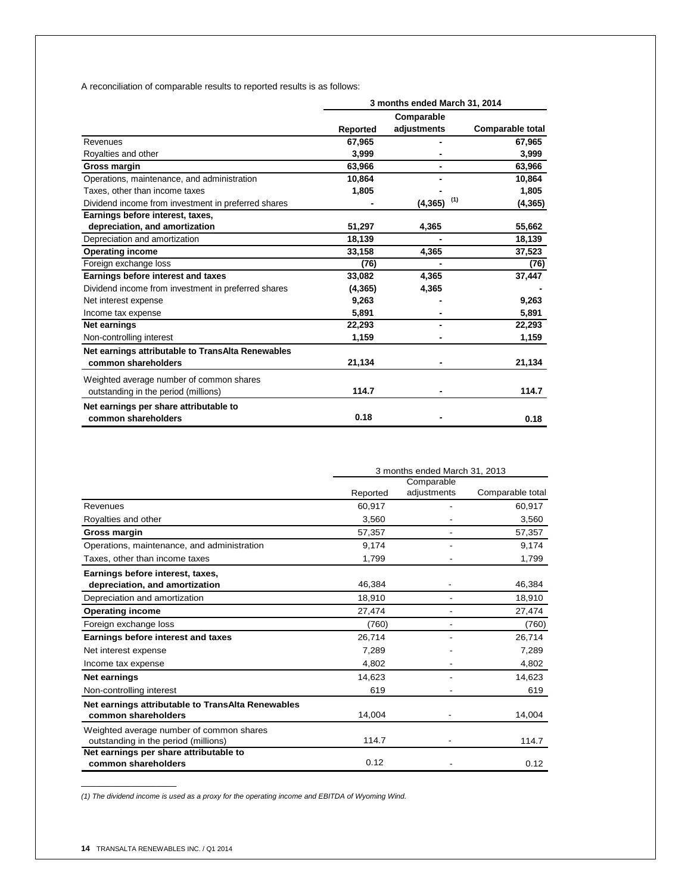A reconciliation of comparable results to reported results is as follows:

|                                                     | 3 months ended March 31, 2014 |                 |                         |  |
|-----------------------------------------------------|-------------------------------|-----------------|-------------------------|--|
|                                                     |                               | Comparable      |                         |  |
|                                                     | Reported                      | adjustments     | <b>Comparable total</b> |  |
| Revenues                                            | 67,965                        |                 | 67,965                  |  |
| Royalties and other                                 | 3,999                         |                 | 3,999                   |  |
| Gross margin                                        | 63,966                        |                 | 63,966                  |  |
| Operations, maintenance, and administration         | 10,864                        |                 | 10,864                  |  |
| Taxes, other than income taxes                      | 1,805                         |                 | 1,805                   |  |
| Dividend income from investment in preferred shares |                               | (1)<br>(4, 365) | (4, 365)                |  |
| Earnings before interest, taxes,                    |                               |                 |                         |  |
| depreciation, and amortization                      | 51,297                        | 4,365           | 55,662                  |  |
| Depreciation and amortization                       | 18,139                        |                 | 18,139                  |  |
| <b>Operating income</b>                             | 33,158                        | 4,365           | 37,523                  |  |
| Foreign exchange loss                               | (76)                          |                 | (76)                    |  |
| Earnings before interest and taxes                  | 33,082                        | 4,365           | 37,447                  |  |
| Dividend income from investment in preferred shares | (4, 365)                      | 4,365           |                         |  |
| Net interest expense                                | 9,263                         |                 | 9,263                   |  |
| Income tax expense                                  | 5,891                         |                 | 5,891                   |  |
| Net earnings                                        | 22,293                        |                 | 22,293                  |  |
| Non-controlling interest                            | 1,159                         |                 | 1,159                   |  |
| Net earnings attributable to TransAlta Renewables   |                               |                 |                         |  |
| common shareholders                                 | 21,134                        |                 | 21,134                  |  |
| Weighted average number of common shares            |                               |                 |                         |  |
| outstanding in the period (millions)                | 114.7                         |                 | 114.7                   |  |
| Net earnings per share attributable to              |                               |                 |                         |  |
| common shareholders                                 | 0.18                          |                 | 0.18                    |  |

|                                                   | 3 months ended March 31, 2013 |             |                  |  |
|---------------------------------------------------|-------------------------------|-------------|------------------|--|
|                                                   |                               | Comparable  |                  |  |
|                                                   | Reported                      | adjustments | Comparable total |  |
| Revenues                                          | 60,917                        |             | 60,917           |  |
| Royalties and other                               | 3,560                         |             | 3,560            |  |
| Gross margin                                      | 57,357                        |             | 57,357           |  |
| Operations, maintenance, and administration       | 9,174                         |             | 9,174            |  |
| Taxes, other than income taxes                    | 1,799                         |             | 1,799            |  |
| Earnings before interest, taxes,                  |                               |             |                  |  |
| depreciation, and amortization                    | 46,384                        |             | 46,384           |  |
| Depreciation and amortization                     | 18.910                        |             | 18,910           |  |
| <b>Operating income</b>                           | 27,474                        |             | 27,474           |  |
| Foreign exchange loss                             | (760)                         |             | (760)            |  |
| Earnings before interest and taxes                | 26,714                        |             | 26,714           |  |
| Net interest expense                              | 7,289                         |             | 7,289            |  |
| Income tax expense                                | 4.802                         |             | 4.802            |  |
| Net earnings                                      | 14,623                        |             | 14,623           |  |
| Non-controlling interest                          | 619                           |             | 619              |  |
| Net earnings attributable to TransAlta Renewables |                               |             |                  |  |
| common shareholders                               | 14,004                        |             | 14,004           |  |
| Weighted average number of common shares          |                               |             |                  |  |
| outstanding in the period (millions)              | 114.7                         |             | 114.7            |  |
| Net earnings per share attributable to            |                               |             |                  |  |
| common shareholders                               | 0.12                          |             | 0.12             |  |

*(1) The dividend income is used as a proxy for the operating income and EBITDA of Wyoming Wind.*

 $\mathcal{L}=\mathcal{L}$  , we can also the set of the set of the set of the set of the set of the set of the set of the set of the set of the set of the set of the set of the set of the set of the set of the set of the set of the s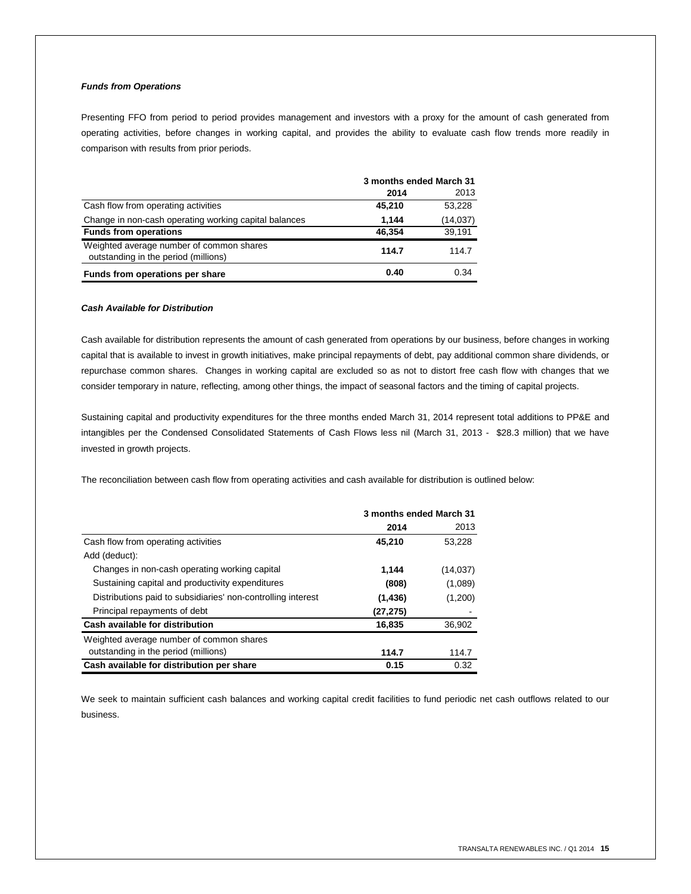## *Funds from Operations*

Presenting FFO from period to period provides management and investors with a proxy for the amount of cash generated from operating activities, before changes in working capital, and provides the ability to evaluate cash flow trends more readily in comparison with results from prior periods.

|                                                                                  | 3 months ended March 31 |           |  |
|----------------------------------------------------------------------------------|-------------------------|-----------|--|
|                                                                                  | 2014                    | 2013      |  |
| Cash flow from operating activities                                              | 45,210                  | 53.228    |  |
| Change in non-cash operating working capital balances                            | 1.144                   | (14, 037) |  |
| <b>Funds from operations</b>                                                     | 46.354                  | 39.191    |  |
| Weighted average number of common shares<br>outstanding in the period (millions) | 114.7                   | 114.7     |  |
| Funds from operations per share                                                  | 0.40                    | 0.34      |  |

#### *Cash Available for Distribution*

Cash available for distribution represents the amount of cash generated from operations by our business, before changes in working capital that is available to invest in growth initiatives, make principal repayments of debt, pay additional common share dividends, or repurchase common shares. Changes in working capital are excluded so as not to distort free cash flow with changes that we consider temporary in nature, reflecting, among other things, the impact of seasonal factors and the timing of capital projects.

Sustaining capital and productivity expenditures for the three months ended March 31, 2014 represent total additions to PP&E and intangibles per the Condensed Consolidated Statements of Cash Flows less nil (March 31, 2013 - \$28.3 million) that we have invested in growth projects.

The reconciliation between cash flow from operating activities and cash available for distribution is outlined below:

|                                                              | 3 months ended March 31 |           |  |
|--------------------------------------------------------------|-------------------------|-----------|--|
|                                                              | 2014                    | 2013      |  |
| Cash flow from operating activities                          | 45,210                  | 53,228    |  |
| Add (deduct):                                                |                         |           |  |
| Changes in non-cash operating working capital                | 1,144                   | (14, 037) |  |
| Sustaining capital and productivity expenditures             | (808)                   | (1,089)   |  |
| Distributions paid to subsidiaries' non-controlling interest | (1, 436)                | (1,200)   |  |
| Principal repayments of debt                                 | (27, 275)               |           |  |
| Cash available for distribution                              | 16,835                  | 36,902    |  |
| Weighted average number of common shares                     |                         |           |  |
| outstanding in the period (millions)                         | 114.7                   | 114.7     |  |
| Cash available for distribution per share                    | 0.15                    | 0.32      |  |

We seek to maintain sufficient cash balances and working capital credit facilities to fund periodic net cash outflows related to our business.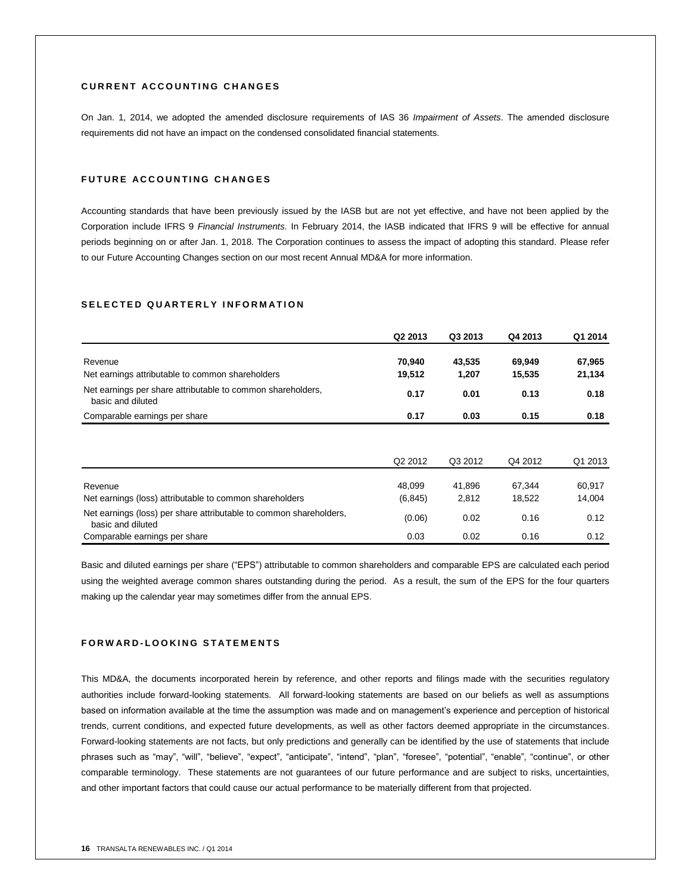## **C U R R E N T A C C O U N T I N G C H A N G E S**

On Jan. 1, 2014, we adopted the amended disclosure requirements of IAS 36 *Impairment of Assets*. The amended disclosure requirements did not have an impact on the condensed consolidated financial statements.

## **FUTURE ACCOUNTING CHANGES**

Accounting standards that have been previously issued by the IASB but are not yet effective, and have not been applied by the Corporation include IFRS 9 *Financial Instruments.* In February 2014, the IASB indicated that IFRS 9 will be effective for annual periods beginning on or after Jan. 1, 2018. The Corporation continues to assess the impact of adopting this standard. Please refer to our Future Accounting Changes section on our most recent Annual MD&A for more information.

## SELECTED QUARTERLY **INFORMATION**

|                                                                                         | Q2 2013            | Q3 2013         | Q4 2013          | Q1 2014          |
|-----------------------------------------------------------------------------------------|--------------------|-----------------|------------------|------------------|
| Revenue<br>Net earnings attributable to common shareholders                             | 70,940<br>19,512   | 43,535<br>1,207 | 69,949<br>15,535 | 67,965<br>21,134 |
| Net earnings per share attributable to common shareholders,<br>basic and diluted        | 0.17               | 0.01            | 0.13             | 0.18             |
| Comparable earnings per share                                                           | 0.17               | 0.03            | 0.15             | 0.18             |
|                                                                                         | Q2 2012            | Q3 2012         | Q4 2012          | Q1 2013          |
| Revenue<br>Net earnings (loss) attributable to common shareholders                      | 48.099<br>(6, 845) | 41.896<br>2,812 | 67.344<br>18,522 | 60,917<br>14,004 |
| Net earnings (loss) per share attributable to common shareholders,<br>basic and diluted | (0.06)             | 0.02            | 0.16             | 0.12             |
| Comparable earnings per share                                                           | 0.03               | 0.02            | 0.16             | 0.12             |

Basic and diluted earnings per share ("EPS") attributable to common shareholders and comparable EPS are calculated each period using the weighted average common shares outstanding during the period. As a result, the sum of the EPS for the four quarters making up the calendar year may sometimes differ from the annual EPS.

## **F O R W A R D - L O O K I N G S T A T E M E N T S**

This MD&A, the documents incorporated herein by reference, and other reports and filings made with the securities regulatory authorities include forward-looking statements. All forward-looking statements are based on our beliefs as well as assumptions based on information available at the time the assumption was made and on management's experience and perception of historical trends, current conditions, and expected future developments, as well as other factors deemed appropriate in the circumstances. Forward-looking statements are not facts, but only predictions and generally can be identified by the use of statements that include phrases such as "may", "will", "believe", "expect", "anticipate", "intend", "plan", "foresee", "potential", "enable", "continue", or other comparable terminology. These statements are not guarantees of our future performance and are subject to risks, uncertainties, and other important factors that could cause our actual performance to be materially different from that projected.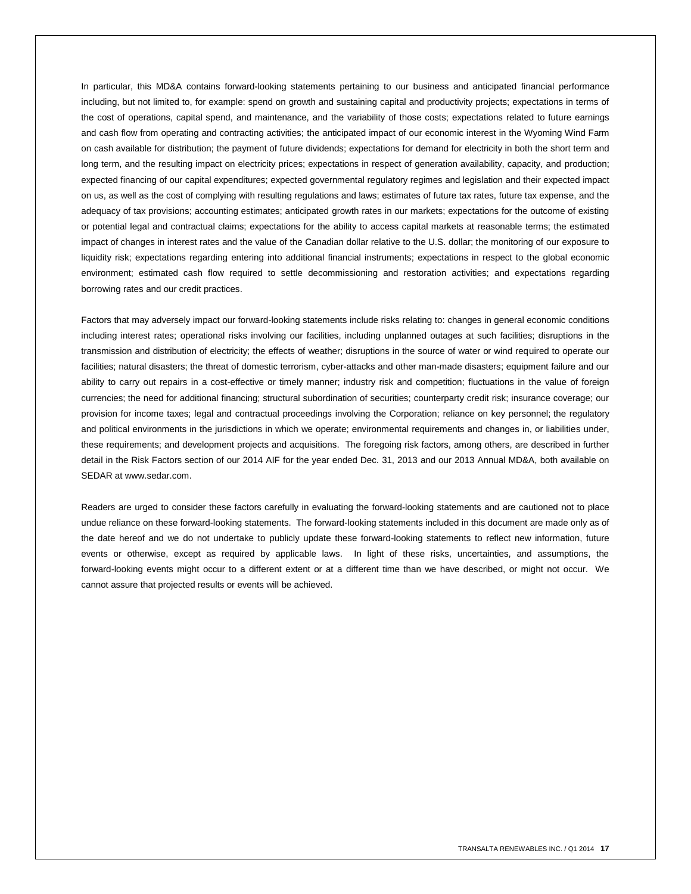In particular, this MD&A contains forward-looking statements pertaining to our business and anticipated financial performance including, but not limited to, for example: spend on growth and sustaining capital and productivity projects; expectations in terms of the cost of operations, capital spend, and maintenance, and the variability of those costs; expectations related to future earnings and cash flow from operating and contracting activities; the anticipated impact of our economic interest in the Wyoming Wind Farm on cash available for distribution; the payment of future dividends; expectations for demand for electricity in both the short term and long term, and the resulting impact on electricity prices; expectations in respect of generation availability, capacity, and production; expected financing of our capital expenditures; expected governmental regulatory regimes and legislation and their expected impact on us, as well as the cost of complying with resulting regulations and laws; estimates of future tax rates, future tax expense, and the adequacy of tax provisions; accounting estimates; anticipated growth rates in our markets; expectations for the outcome of existing or potential legal and contractual claims; expectations for the ability to access capital markets at reasonable terms; the estimated impact of changes in interest rates and the value of the Canadian dollar relative to the U.S. dollar; the monitoring of our exposure to liquidity risk; expectations regarding entering into additional financial instruments; expectations in respect to the global economic environment; estimated cash flow required to settle decommissioning and restoration activities; and expectations regarding borrowing rates and our credit practices.

Factors that may adversely impact our forward-looking statements include risks relating to: changes in general economic conditions including interest rates; operational risks involving our facilities, including unplanned outages at such facilities; disruptions in the transmission and distribution of electricity; the effects of weather; disruptions in the source of water or wind required to operate our facilities; natural disasters; the threat of domestic terrorism, cyber-attacks and other man-made disasters; equipment failure and our ability to carry out repairs in a cost-effective or timely manner; industry risk and competition; fluctuations in the value of foreign currencies; the need for additional financing; structural subordination of securities; counterparty credit risk; insurance coverage; our provision for income taxes; legal and contractual proceedings involving the Corporation; reliance on key personnel; the regulatory and political environments in the jurisdictions in which we operate; environmental requirements and changes in, or liabilities under, these requirements; and development projects and acquisitions. The foregoing risk factors, among others, are described in further detail in the Risk Factors section of our 2014 AIF for the year ended Dec. 31, 2013 and our 2013 Annual MD&A, both available on SEDAR at www.sedar.com.

Readers are urged to consider these factors carefully in evaluating the forward-looking statements and are cautioned not to place undue reliance on these forward-looking statements. The forward-looking statements included in this document are made only as of the date hereof and we do not undertake to publicly update these forward-looking statements to reflect new information, future events or otherwise, except as required by applicable laws. In light of these risks, uncertainties, and assumptions, the forward-looking events might occur to a different extent or at a different time than we have described, or might not occur. We cannot assure that projected results or events will be achieved.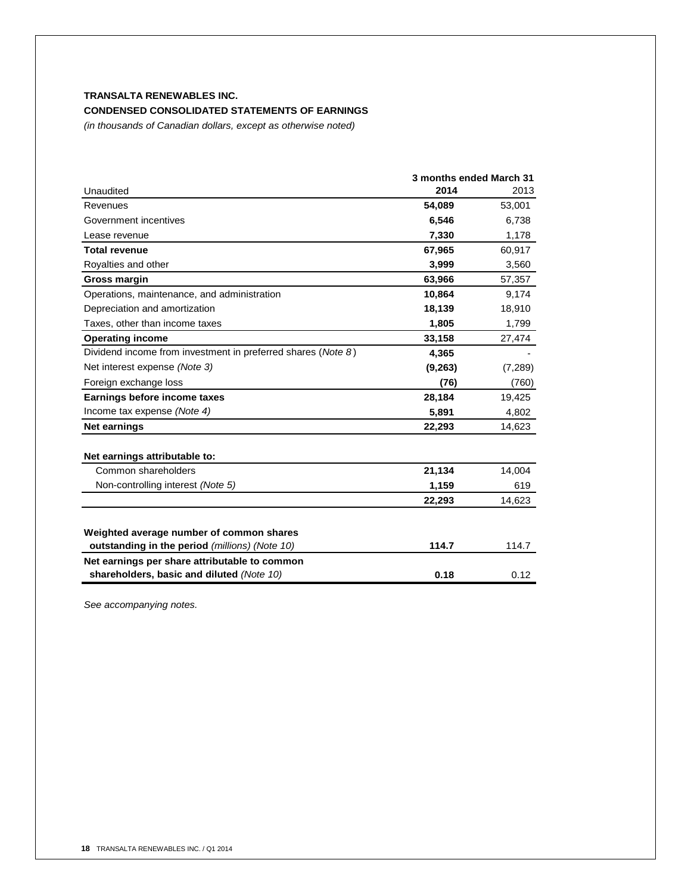## **CONDENSED CONSOLIDATED STATEMENTS OF EARNINGS**

*(in thousands of Canadian dollars, except as otherwise noted)*

|                                                                                            | 3 months ended March 31 |         |  |
|--------------------------------------------------------------------------------------------|-------------------------|---------|--|
| Unaudited                                                                                  | 2014                    | 2013    |  |
| Revenues                                                                                   | 54,089                  | 53,001  |  |
| Government incentives                                                                      | 6,546                   | 6,738   |  |
| Lease revenue                                                                              | 7,330                   | 1,178   |  |
| <b>Total revenue</b>                                                                       | 67,965                  | 60,917  |  |
| Royalties and other                                                                        | 3,999                   | 3,560   |  |
| Gross margin                                                                               | 63,966                  | 57,357  |  |
| Operations, maintenance, and administration                                                | 10,864                  | 9,174   |  |
| Depreciation and amortization                                                              | 18,139                  | 18,910  |  |
| Taxes, other than income taxes                                                             | 1,805                   | 1,799   |  |
| <b>Operating income</b>                                                                    | 33,158                  | 27,474  |  |
| Dividend income from investment in preferred shares (Note 8)                               | 4,365                   |         |  |
| Net interest expense (Note 3)                                                              | (9,263)                 | (7,289) |  |
| Foreign exchange loss                                                                      | (76)                    | (760)   |  |
| Earnings before income taxes                                                               | 28,184                  | 19,425  |  |
| Income tax expense (Note 4)                                                                | 5,891                   | 4,802   |  |
| <b>Net earnings</b>                                                                        | 22,293                  | 14,623  |  |
| Net earnings attributable to:                                                              |                         |         |  |
| Common shareholders                                                                        | 21,134                  | 14,004  |  |
| Non-controlling interest (Note 5)                                                          | 1,159                   | 619     |  |
|                                                                                            | 22,293                  | 14,623  |  |
| Weighted average number of common shares                                                   |                         |         |  |
| outstanding in the period (millions) (Note 10)                                             | 114.7                   | 114.7   |  |
| Net earnings per share attributable to common<br>shareholders, basic and diluted (Note 10) | 0.18                    | 0.12    |  |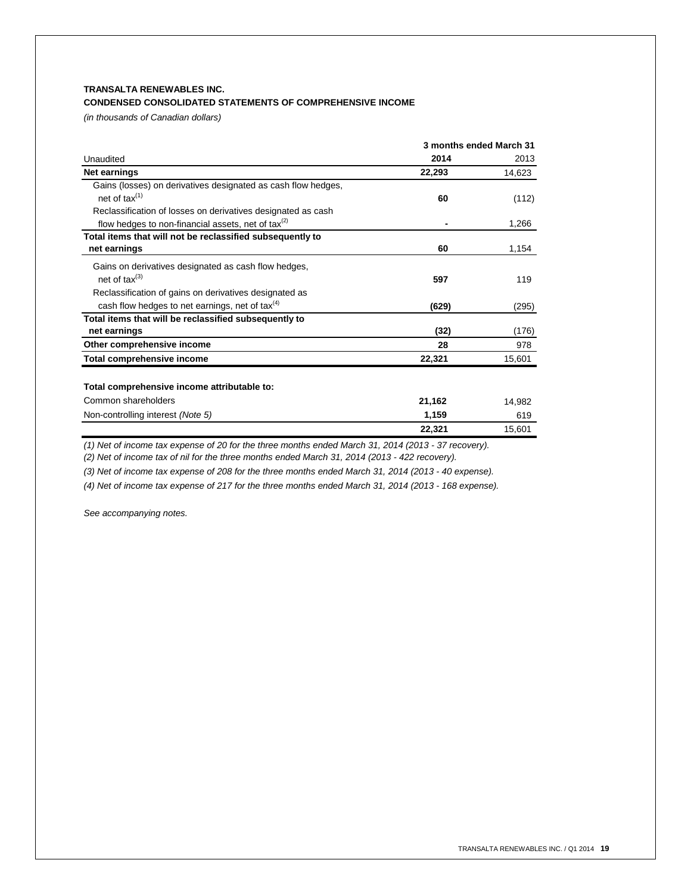## **CONDENSED CONSOLIDATED STATEMENTS OF COMPREHENSIVE INCOME**

*(in thousands of Canadian dollars)*

|                                                                | 3 months ended March 31 |        |  |
|----------------------------------------------------------------|-------------------------|--------|--|
| Unaudited                                                      | 2014                    | 2013   |  |
| Net earnings                                                   | 22,293                  | 14,623 |  |
| Gains (losses) on derivatives designated as cash flow hedges,  |                         |        |  |
| net of $tax^{(1)}$                                             | 60                      | (112)  |  |
| Reclassification of losses on derivatives designated as cash   |                         |        |  |
| flow hedges to non-financial assets, net of $\text{tax}^{(2)}$ |                         | 1,266  |  |
| Total items that will not be reclassified subsequently to      |                         |        |  |
| net earnings                                                   | 60                      | 1,154  |  |
| Gains on derivatives designated as cash flow hedges,           |                         |        |  |
| net of $\text{tax}^{(3)}$                                      | 597                     | 119    |  |
| Reclassification of gains on derivatives designated as         |                         |        |  |
| cash flow hedges to net earnings, net of tax $(4)$             | (629)                   | (295)  |  |
| Total items that will be reclassified subsequently to          |                         |        |  |
| net earnings                                                   | (32)                    | (176)  |  |
| Other comprehensive income                                     | 28                      | 978    |  |
| <b>Total comprehensive income</b>                              | 22,321                  | 15,601 |  |
|                                                                |                         |        |  |
| Total comprehensive income attributable to:                    |                         |        |  |
| Common shareholders                                            | 21,162                  | 14.982 |  |
| Non-controlling interest (Note 5)                              | 1,159                   | 619    |  |
|                                                                | 22,321                  | 15,601 |  |

*(1) Net of income tax expense of 20 for the three months ended March 31, 2014 (2013 - 37 recovery).*

*(2) Net of income tax of nil for the three months ended March 31, 2014 (2013 - 422 recovery).*

*(3) Net of income tax expense of 208 for the three months ended March 31, 2014 (2013 - 40 expense).*

*(4) Net of income tax expense of 217 for the three months ended March 31, 2014 (2013 - 168 expense).*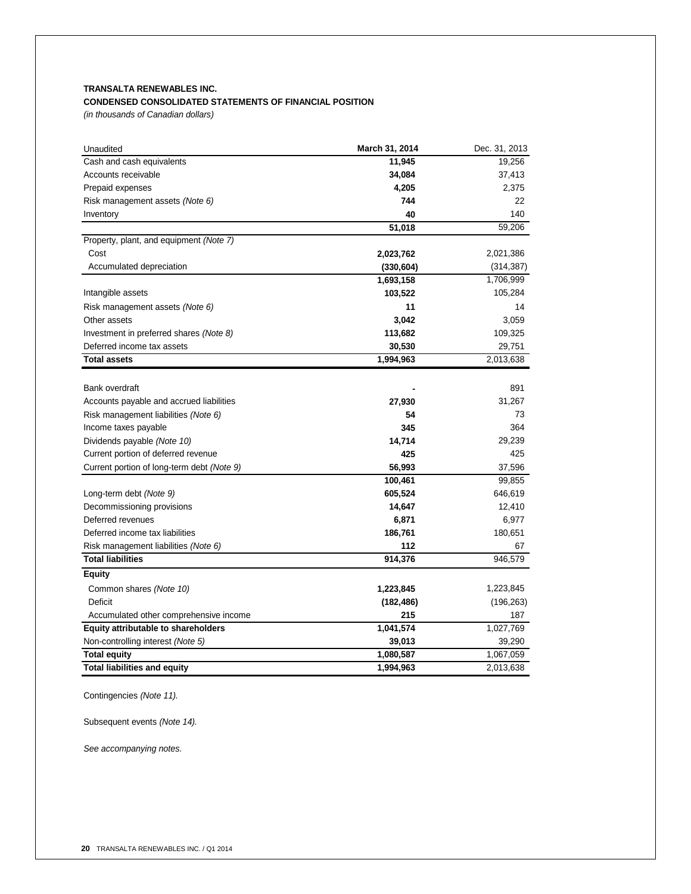## **CONDENSED CONSOLIDATED STATEMENTS OF FINANCIAL POSITION**

*(in thousands of Canadian dollars)*

| Unaudited                                  | March 31, 2014 | Dec. 31, 2013 |
|--------------------------------------------|----------------|---------------|
| Cash and cash equivalents                  | 11,945         | 19,256        |
| Accounts receivable                        | 34,084         | 37,413        |
| Prepaid expenses                           | 4,205          | 2,375         |
| Risk management assets (Note 6)            | 744            | 22            |
| Inventory                                  | 40             | 140           |
|                                            | 51,018         | 59,206        |
| Property, plant, and equipment (Note 7)    |                |               |
| Cost                                       | 2,023,762      | 2,021,386     |
| Accumulated depreciation                   | (330, 604)     | (314, 387)    |
|                                            | 1,693,158      | 1,706,999     |
| Intangible assets                          | 103,522        | 105,284       |
| Risk management assets (Note 6)            | 11             | 14            |
| Other assets                               | 3,042          | 3,059         |
| Investment in preferred shares (Note 8)    | 113,682        | 109,325       |
| Deferred income tax assets                 | 30,530         | 29,751        |
| <b>Total assets</b>                        | 1,994,963      | 2,013,638     |
|                                            |                |               |
| Bank overdraft                             |                | 891           |
| Accounts payable and accrued liabilities   | 27,930         | 31,267        |
| Risk management liabilities (Note 6)       | 54             | 73            |
| Income taxes payable                       | 345            | 364           |
| Dividends payable (Note 10)                | 14,714         | 29,239        |
| Current portion of deferred revenue        | 425            | 425           |
| Current portion of long-term debt (Note 9) | 56,993         | 37,596        |
|                                            | 100,461        | 99,855        |
| Long-term debt (Note 9)                    | 605,524        | 646,619       |
| Decommissioning provisions                 | 14,647         | 12,410        |
| Deferred revenues                          | 6,871          | 6,977         |
| Deferred income tax liabilities            | 186,761        | 180,651       |
| Risk management liabilities (Note 6)       | 112            | 67            |
| <b>Total liabilities</b>                   | 914,376        | 946,579       |
| <b>Equity</b>                              |                |               |
| Common shares (Note 10)                    | 1,223,845      | 1,223,845     |
| Deficit                                    | (182, 486)     | (196, 263)    |
| Accumulated other comprehensive income     | 215            | 187           |
| <b>Equity attributable to shareholders</b> | 1,041,574      | 1,027,769     |
| Non-controlling interest (Note 5)          | 39,013         | 39,290        |
| <b>Total equity</b>                        | 1,080,587      | 1,067,059     |
| <b>Total liabilities and equity</b>        | 1,994,963      | 2,013,638     |
|                                            |                |               |

Contingencies *(Note 11).*

Subsequent events *(Note 14).*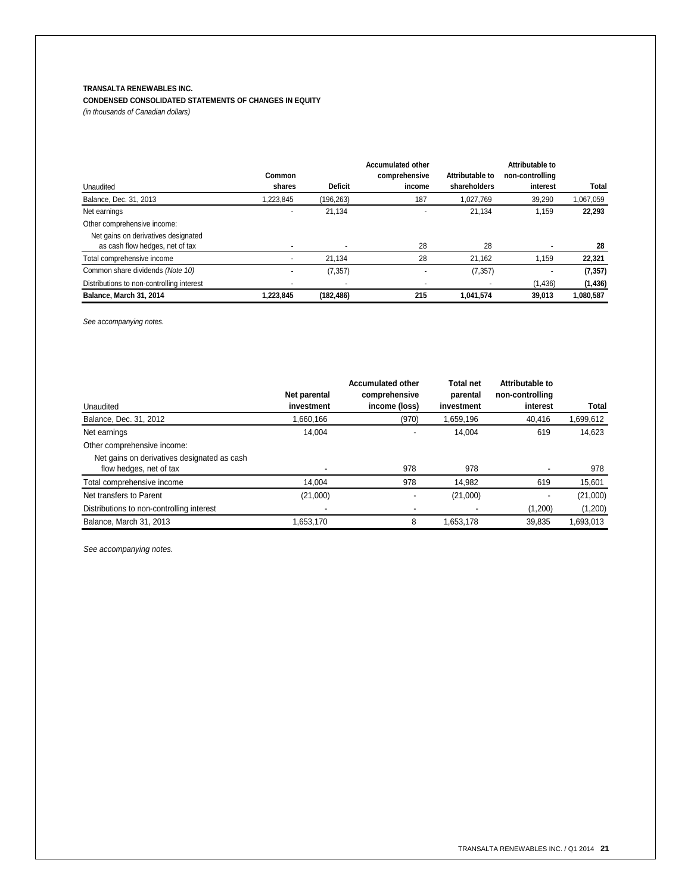# **CONDENSED CONSOLIDATED STATEMENTS OF CHANGES IN EQUITY**

*(in thousands of Canadian dollars)*

|                                           |           |                | <b>Accumulated other</b> |                 | Attributable to |           |
|-------------------------------------------|-----------|----------------|--------------------------|-----------------|-----------------|-----------|
|                                           | Common    |                | comprehensive            | Attributable to | non-controlling |           |
| Unaudited                                 | shares    | <b>Deficit</b> | income                   | shareholders    | interest        | Total     |
| Balance, Dec. 31, 2013                    | 1.223.845 | (196,263)      | 187                      | 1.027.769       | 39,290          | 1,067,059 |
| Net earnings                              |           | 21,134         |                          | 21,134          | 1,159           | 22,293    |
| Other comprehensive income:               |           |                |                          |                 |                 |           |
| Net gains on derivatives designated       |           |                |                          |                 |                 |           |
| as cash flow hedges, net of tax           |           |                | 28                       | 28              |                 | 28        |
| Total comprehensive income                |           | 21.134         | 28                       | 21,162          | 1,159           | 22,321    |
| Common share dividends (Note 10)          |           | (7, 357)       |                          | (7, 357)        |                 | (7, 357)  |
| Distributions to non-controlling interest |           |                |                          |                 | (1, 436)        | (1, 436)  |
| Balance, March 31, 2014                   | 1,223,845 | (182,486)      | 215                      | 1,041,574       | 39.013          | 1,080,587 |

*See accompanying notes.*

|                                             | Net parental | <b>Accumulated other</b><br>comprehensive | <b>Total net</b><br>parental | Attributable to<br>non-controlling |           |
|---------------------------------------------|--------------|-------------------------------------------|------------------------------|------------------------------------|-----------|
| Unaudited                                   | investment   | income (loss)                             | investment                   | interest                           | Total     |
| Balance, Dec. 31, 2012                      | 1,660,166    | (970)                                     | 1,659,196                    | 40,416                             | 1,699,612 |
| Net earnings                                | 14.004       |                                           | 14.004                       | 619                                | 14,623    |
| Other comprehensive income:                 |              |                                           |                              |                                    |           |
| Net gains on derivatives designated as cash |              |                                           |                              |                                    |           |
| flow hedges, net of tax                     |              | 978                                       | 978                          |                                    | 978       |
| Total comprehensive income                  | 14.004       | 978                                       | 14.982                       | 619                                | 15,601    |
| Net transfers to Parent                     | (21,000)     |                                           | (21,000)                     |                                    | (21,000)  |
| Distributions to non-controlling interest   |              |                                           |                              | (1,200)                            | (1,200)   |
| Balance, March 31, 2013                     | 1,653,170    | 8                                         | 1,653,178                    | 39.835                             | 1,693,013 |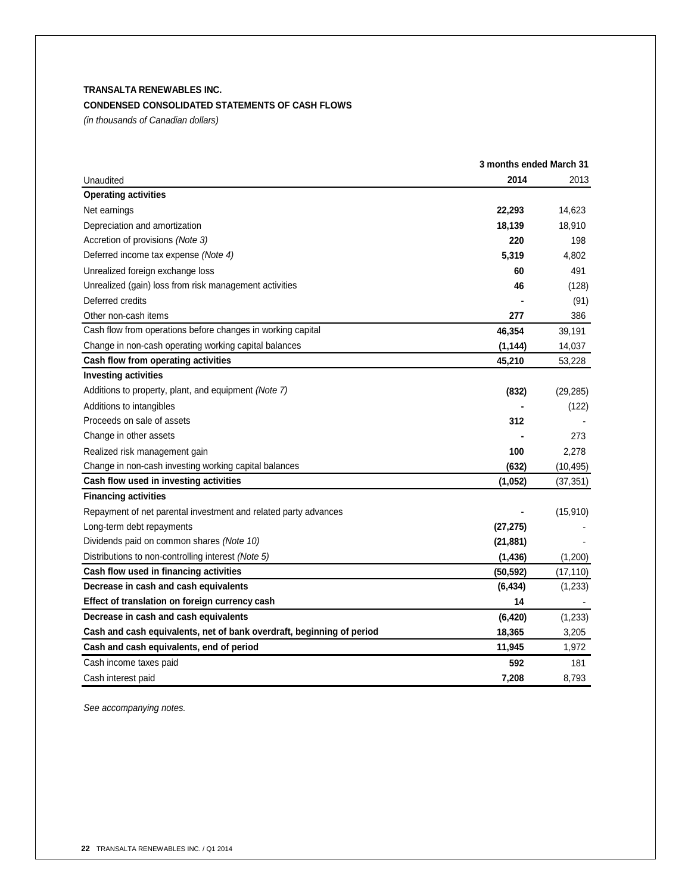## **CONDENSED CONSOLIDATED STATEMENTS OF CASH FLOWS**

*(in thousands of Canadian dollars)*

|                                                                       | 3 months ended March 31 |           |
|-----------------------------------------------------------------------|-------------------------|-----------|
| Unaudited                                                             | 2014                    | 2013      |
| <b>Operating activities</b>                                           |                         |           |
| Net earnings                                                          | 22,293                  | 14,623    |
| Depreciation and amortization                                         | 18,139                  | 18,910    |
| Accretion of provisions (Note 3)                                      | 220                     | 198       |
| Deferred income tax expense (Note 4)                                  | 5,319                   | 4,802     |
| Unrealized foreign exchange loss                                      | 60                      | 491       |
| Unrealized (gain) loss from risk management activities                | 46                      | (128)     |
| Deferred credits                                                      |                         | (91)      |
| Other non-cash items                                                  | 277                     | 386       |
| Cash flow from operations before changes in working capital           | 46,354                  | 39,191    |
| Change in non-cash operating working capital balances                 | (1, 144)                | 14,037    |
| Cash flow from operating activities                                   | 45,210                  | 53,228    |
| <b>Investing activities</b>                                           |                         |           |
| Additions to property, plant, and equipment (Note 7)                  | (832)                   | (29, 285) |
| Additions to intangibles                                              |                         | (122)     |
| Proceeds on sale of assets                                            | 312                     |           |
| Change in other assets                                                |                         | 273       |
| Realized risk management gain                                         | 100                     | 2,278     |
| Change in non-cash investing working capital balances                 | (632)                   | (10, 495) |
| Cash flow used in investing activities                                | (1,052)                 | (37, 351) |
| <b>Financing activities</b>                                           |                         |           |
| Repayment of net parental investment and related party advances       |                         | (15, 910) |
| Long-term debt repayments                                             | (27, 275)               |           |
| Dividends paid on common shares (Note 10)                             | (21, 881)               |           |
| Distributions to non-controlling interest (Note 5)                    | (1, 436)                | (1,200)   |
| Cash flow used in financing activities                                | (50, 592)               | (17, 110) |
| Decrease in cash and cash equivalents                                 | (6, 434)                | (1,233)   |
| Effect of translation on foreign currency cash                        | 14                      |           |
| Decrease in cash and cash equivalents                                 | (6, 420)                | (1, 233)  |
| Cash and cash equivalents, net of bank overdraft, beginning of period | 18,365                  | 3,205     |
| Cash and cash equivalents, end of period                              | 11,945                  | 1,972     |
| Cash income taxes paid                                                | 592                     | 181       |
| Cash interest paid                                                    | 7,208                   | 8,793     |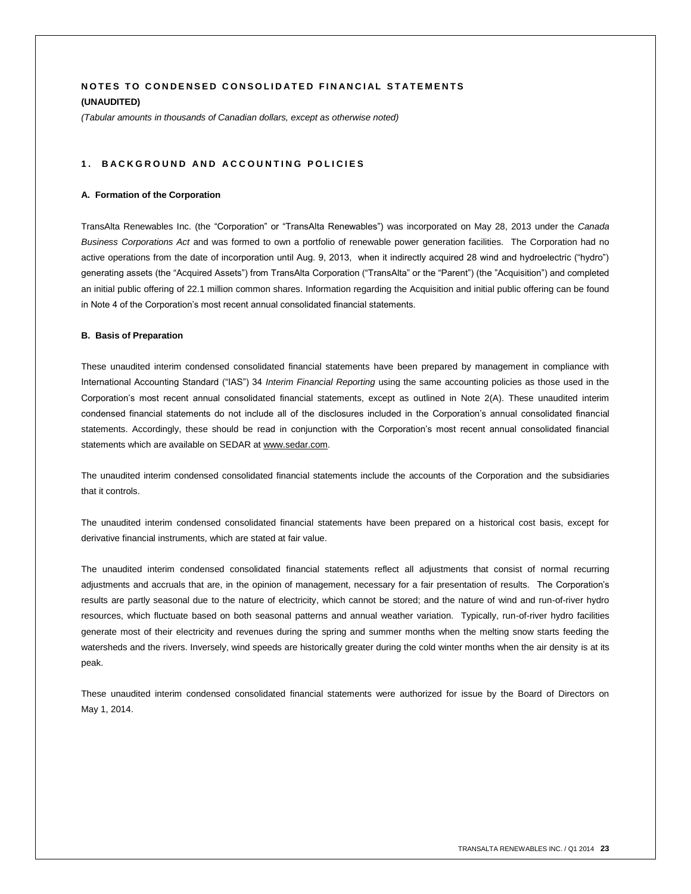## **NOTES TO CONDENSED CONSOLIDATED FINANCIAL STATEMENTS (UNAUDITED)**

*(Tabular amounts in thousands of Canadian dollars, except as otherwise noted)*

#### 1. BACKGROUND AND ACCOUNTING POLICIES

#### **A. Formation of the Corporation**

TransAlta Renewables Inc. (the "Corporation" or "TransAlta Renewables") was incorporated on May 28, 2013 under the *Canada Business Corporations Act* and was formed to own a portfolio of renewable power generation facilities. The Corporation had no active operations from the date of incorporation until Aug. 9, 2013, when it indirectly acquired 28 wind and hydroelectric ("hydro") generating assets (the "Acquired Assets") from TransAlta Corporation ("TransAlta" or the "Parent") (the "Acquisition") and completed an initial public offering of 22.1 million common shares. Information regarding the Acquisition and initial public offering can be found in Note 4 of the Corporation's most recent annual consolidated financial statements.

#### **B. Basis of Preparation**

These unaudited interim condensed consolidated financial statements have been prepared by management in compliance with International Accounting Standard ("IAS") 34 *Interim Financial Reporting* using the same accounting policies as those used in the Corporation's most recent annual consolidated financial statements, except as outlined in Note 2(A). These unaudited interim condensed financial statements do not include all of the disclosures included in the Corporation's annual consolidated financial statements. Accordingly, these should be read in conjunction with the Corporation's most recent annual consolidated financial statements which are available on SEDAR at www.sedar.com.

The unaudited interim condensed consolidated financial statements include the accounts of the Corporation and the subsidiaries that it controls.

The unaudited interim condensed consolidated financial statements have been prepared on a historical cost basis, except for derivative financial instruments, which are stated at fair value.

The unaudited interim condensed consolidated financial statements reflect all adjustments that consist of normal recurring adjustments and accruals that are, in the opinion of management, necessary for a fair presentation of results. The Corporation's results are partly seasonal due to the nature of electricity, which cannot be stored; and the nature of wind and run-of-river hydro resources, which fluctuate based on both seasonal patterns and annual weather variation. Typically, run-of-river hydro facilities generate most of their electricity and revenues during the spring and summer months when the melting snow starts feeding the watersheds and the rivers. Inversely, wind speeds are historically greater during the cold winter months when the air density is at its peak.

These unaudited interim condensed consolidated financial statements were authorized for issue by the Board of Directors on May 1, 2014.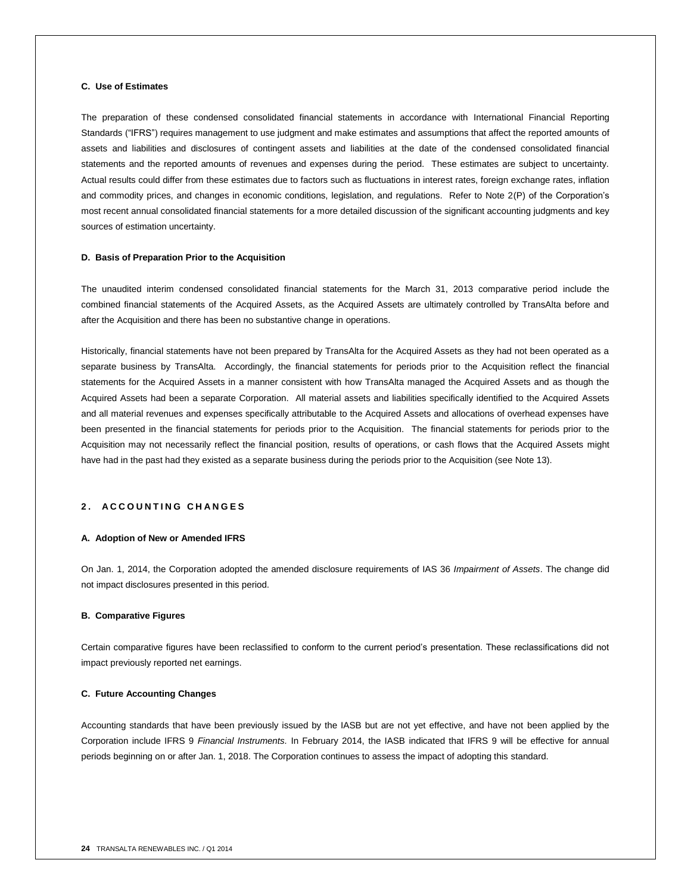## **C. Use of Estimates**

The preparation of these condensed consolidated financial statements in accordance with International Financial Reporting Standards ("IFRS") requires management to use judgment and make estimates and assumptions that affect the reported amounts of assets and liabilities and disclosures of contingent assets and liabilities at the date of the condensed consolidated financial statements and the reported amounts of revenues and expenses during the period. These estimates are subject to uncertainty. Actual results could differ from these estimates due to factors such as fluctuations in interest rates, foreign exchange rates, inflation and commodity prices, and changes in economic conditions, legislation, and regulations. Refer to Note 2(P) of the Corporation's most recent annual consolidated financial statements for a more detailed discussion of the significant accounting judgments and key sources of estimation uncertainty.

#### **D. Basis of Preparation Prior to the Acquisition**

The unaudited interim condensed consolidated financial statements for the March 31, 2013 comparative period include the combined financial statements of the Acquired Assets, as the Acquired Assets are ultimately controlled by TransAlta before and after the Acquisition and there has been no substantive change in operations.

Historically, financial statements have not been prepared by TransAlta for the Acquired Assets as they had not been operated as a separate business by TransAlta. Accordingly, the financial statements for periods prior to the Acquisition reflect the financial statements for the Acquired Assets in a manner consistent with how TransAlta managed the Acquired Assets and as though the Acquired Assets had been a separate Corporation. All material assets and liabilities specifically identified to the Acquired Assets and all material revenues and expenses specifically attributable to the Acquired Assets and allocations of overhead expenses have been presented in the financial statements for periods prior to the Acquisition. The financial statements for periods prior to the Acquisition may not necessarily reflect the financial position, results of operations, or cash flows that the Acquired Assets might have had in the past had they existed as a separate business during the periods prior to the Acquisition (see Note 13).

#### **2 . A C C O U N T I N G C H A N G E S**

#### **A. Adoption of New or Amended IFRS**

On Jan. 1, 2014, the Corporation adopted the amended disclosure requirements of IAS 36 *Impairment of Assets*. The change did not impact disclosures presented in this period.

#### **B. Comparative Figures**

Certain comparative figures have been reclassified to conform to the current period's presentation. These reclassifications did not impact previously reported net earnings.

#### **C. Future Accounting Changes**

Accounting standards that have been previously issued by the IASB but are not yet effective, and have not been applied by the Corporation include IFRS 9 *Financial Instruments.* In February 2014, the IASB indicated that IFRS 9 will be effective for annual periods beginning on or after Jan. 1, 2018. The Corporation continues to assess the impact of adopting this standard.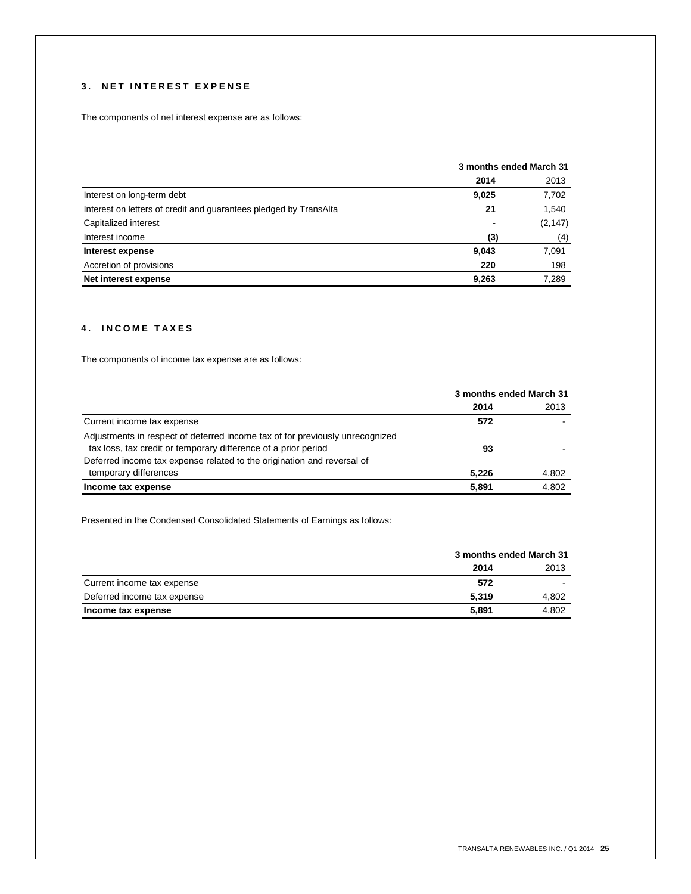## **3 . N E T I N T E R E S T E X P E N S E**

The components of net interest expense are as follows:

|                                                                   | 3 months ended March 31 |          |  |
|-------------------------------------------------------------------|-------------------------|----------|--|
|                                                                   | 2014                    | 2013     |  |
| Interest on long-term debt                                        | 9,025                   | 7,702    |  |
| Interest on letters of credit and guarantees pledged by TransAlta | 21                      | 1,540    |  |
| Capitalized interest                                              | $\blacksquare$          | (2, 147) |  |
| Interest income                                                   | (3)                     | (4)      |  |
| Interest expense                                                  | 9,043                   | 7,091    |  |
| Accretion of provisions                                           | 220                     | 198      |  |
| Net interest expense                                              | 9,263                   | 7,289    |  |

## **4 . I N C O M E T A X E S**

The components of income tax expense are as follows:

|                                                                                                                                                | 3 months ended March 31 |       |
|------------------------------------------------------------------------------------------------------------------------------------------------|-------------------------|-------|
|                                                                                                                                                | 2014                    | 2013  |
| Current income tax expense                                                                                                                     | 572                     |       |
| Adjustments in respect of deferred income tax of for previously unrecognized<br>tax loss, tax credit or temporary difference of a prior period | 93                      |       |
| Deferred income tax expense related to the origination and reversal of<br>temporary differences                                                | 5.226                   | 4,802 |
| Income tax expense                                                                                                                             | 5.891                   | 4,802 |

Presented in the Condensed Consolidated Statements of Earnings as follows:

|                             |       | 3 months ended March 31 |
|-----------------------------|-------|-------------------------|
|                             | 2014  | 2013                    |
| Current income tax expense  | 572   |                         |
| Deferred income tax expense | 5.319 | 4.802                   |
| Income tax expense          | 5.891 | 4.802                   |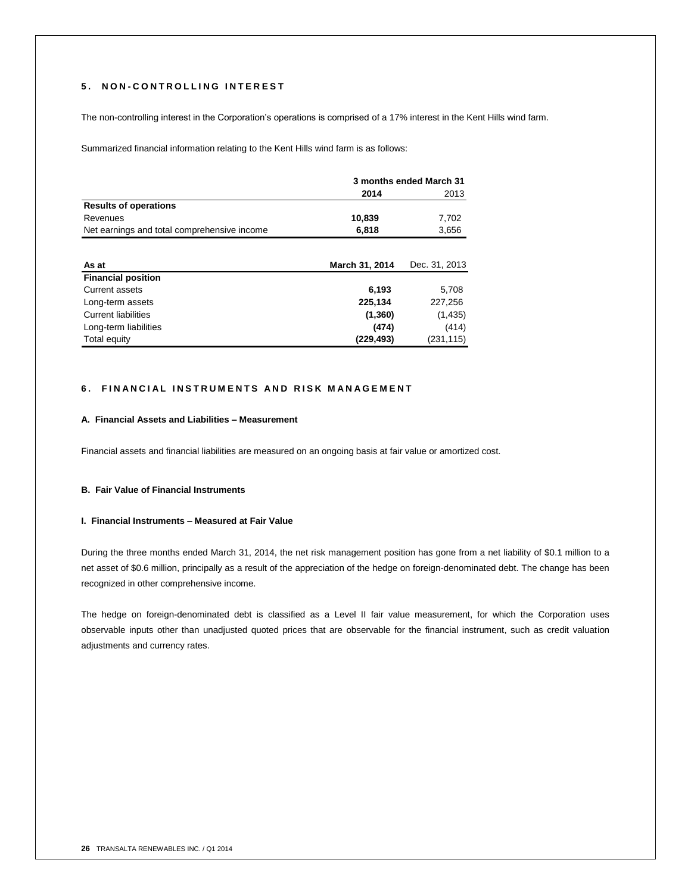## **5 . N O N - C O N T R O L L I N G I N T E R E S T**

The non-controlling interest in the Corporation's operations is comprised of a 17% interest in the Kent Hills wind farm.

Summarized financial information relating to the Kent Hills wind farm is as follows:

|                                             | 3 months ended March 31 |               |  |
|---------------------------------------------|-------------------------|---------------|--|
|                                             | 2014                    | 2013          |  |
| <b>Results of operations</b>                |                         |               |  |
| Revenues                                    | 10,839                  | 7,702         |  |
| Net earnings and total comprehensive income | 6,818                   | 3,656         |  |
|                                             |                         |               |  |
| As at                                       | March 31, 2014          | Dec. 31, 2013 |  |
| <b>Financial position</b>                   |                         |               |  |
| Current assets                              | 6,193                   | 5,708         |  |
| Long-term assets                            | 225,134                 | 227,256       |  |
| <b>Current liabilities</b>                  | (1, 360)                | (1,435)       |  |
| Long-term liabilities                       | (474)                   | (414)         |  |
| Total equity                                | (229,493)               | (231, 115)    |  |

## **6. FINANCIAL INSTRUMENTS AND RISK MANAGEMENT**

#### **A. Financial Assets and Liabilities – Measurement**

Financial assets and financial liabilities are measured on an ongoing basis at fair value or amortized cost.

## **B. Fair Value of Financial Instruments**

#### **I. Financial Instruments – Measured at Fair Value**

During the three months ended March 31, 2014, the net risk management position has gone from a net liability of \$0.1 million to a net asset of \$0.6 million, principally as a result of the appreciation of the hedge on foreign-denominated debt. The change has been recognized in other comprehensive income.

The hedge on foreign-denominated debt is classified as a Level II fair value measurement, for which the Corporation uses observable inputs other than unadjusted quoted prices that are observable for the financial instrument, such as credit valuation adjustments and currency rates.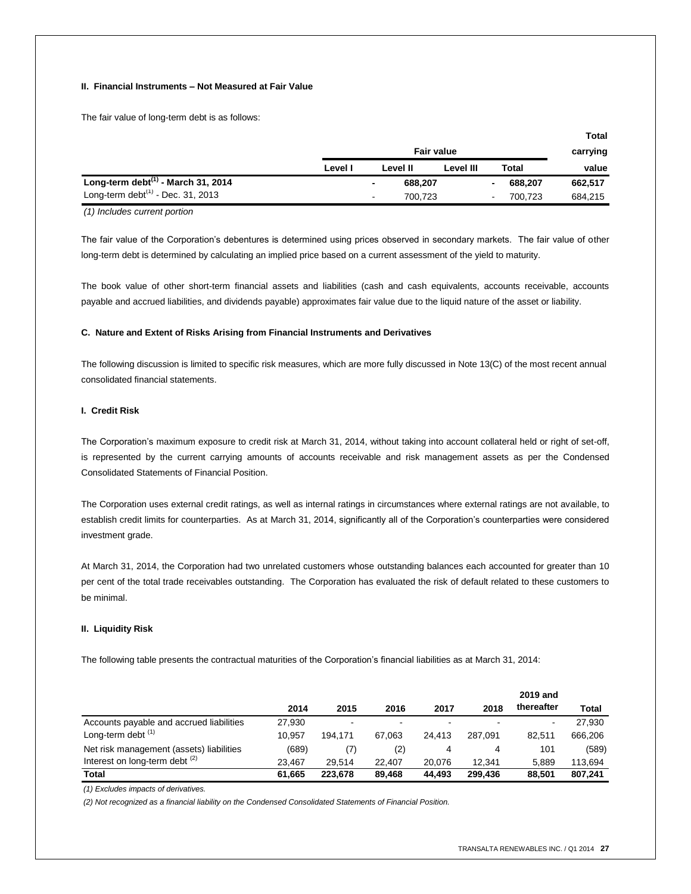#### **II. Financial Instruments – Not Measured at Fair Value**

The fair value of long-term debt is as follows:

|                                          |                   |                          |          |           |          |         | πυιαι   |
|------------------------------------------|-------------------|--------------------------|----------|-----------|----------|---------|---------|
|                                          | <b>Fair value</b> |                          |          |           | carrying |         |         |
|                                          | Level I           |                          | Level II | Level III |          | Total   | value   |
| Long-term debt $^{(1)}$ - March 31, 2014 |                   | $\overline{\phantom{a}}$ | 688,207  |           | ۰        | 688,207 | 662,517 |
| Long-term debt $(1)$ - Dec. 31, 2013     |                   | $\sim$                   | 700.723  |           | ٠        | 700.723 | 684,215 |

*(1) Includes current portion*

The fair value of the Corporation's debentures is determined using prices observed in secondary markets. The fair value of other long-term debt is determined by calculating an implied price based on a current assessment of the yield to maturity.

The book value of other short-term financial assets and liabilities (cash and cash equivalents, accounts receivable, accounts payable and accrued liabilities, and dividends payable) approximates fair value due to the liquid nature of the asset or liability.

#### **C. Nature and Extent of Risks Arising from Financial Instruments and Derivatives**

The following discussion is limited to specific risk measures, which are more fully discussed in Note 13(C) of the most recent annual consolidated financial statements.

## **I. Credit Risk**

The Corporation's maximum exposure to credit risk at March 31, 2014, without taking into account collateral held or right of set-off, is represented by the current carrying amounts of accounts receivable and risk management assets as per the Condensed Consolidated Statements of Financial Position.

The Corporation uses external credit ratings, as well as internal ratings in circumstances where external ratings are not available, to establish credit limits for counterparties. As at March 31, 2014, significantly all of the Corporation's counterparties were considered investment grade.

At March 31, 2014, the Corporation had two unrelated customers whose outstanding balances each accounted for greater than 10 per cent of the total trade receivables outstanding. The Corporation has evaluated the risk of default related to these customers to be minimal.

#### **II. Liquidity Risk**

The following table presents the contractual maturities of the Corporation's financial liabilities as at March 31, 2014:

|                                           | 2014   | 2015           | 2016   | 2017                     | 2018    | 2019 and<br>thereafter   | <b>Total</b> |
|-------------------------------------------|--------|----------------|--------|--------------------------|---------|--------------------------|--------------|
| Accounts payable and accrued liabilities  | 27.930 | $\blacksquare$ |        | $\overline{\phantom{0}}$ |         | $\overline{\phantom{0}}$ | 27.930       |
| Long-term debt $(1)$                      | 10.957 | 194.171        | 67.063 | 24.413                   | 287.091 | 82.511                   | 666.206      |
| Net risk management (assets) liabilities  | (689)  | (7)            | (2)    | 4                        | 4       | 101                      | (589)        |
| Interest on long-term debt <sup>(2)</sup> | 23.467 | 29.514         | 22,407 | 20.076                   | 12.341  | 5.889                    | 113.694      |
| Total                                     | 61,665 | 223.678        | 89.468 | 44.493                   | 299.436 | 88.501                   | 807.241      |

*(1) Excludes impacts of derivatives.*

*(2) Not recognized as a financial liability on the Condensed Consolidated Statements of Financial Position.*

**Total**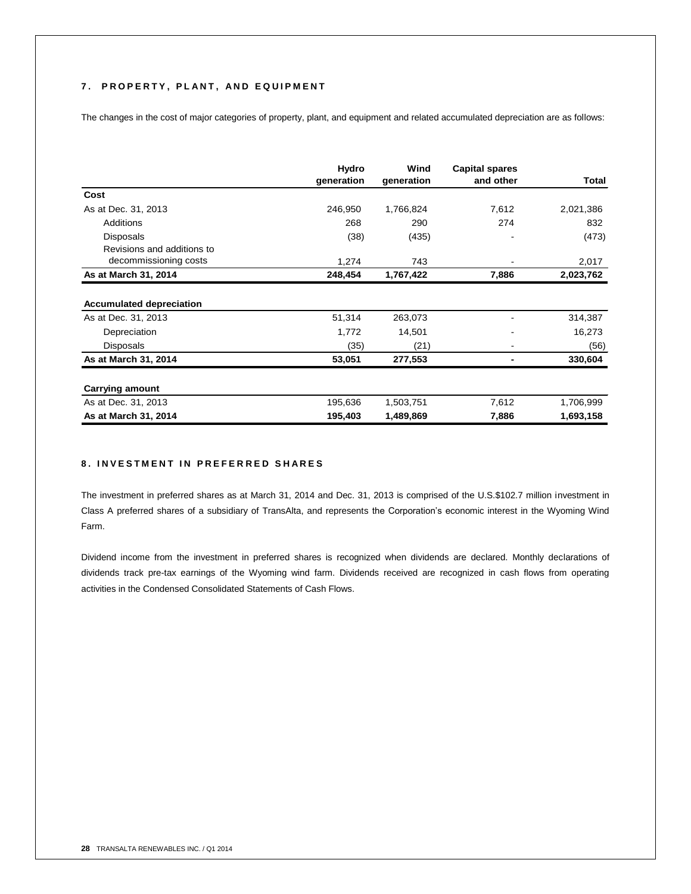## **7 . P R O P E R T Y , P L A N T , A N D E Q U I P M E N T**

The changes in the cost of major categories of property, plant, and equipment and related accumulated depreciation are as follows:

|                                                        | Hydro<br>generation | Wind<br>generation | <b>Capital spares</b><br>and other | Total     |
|--------------------------------------------------------|---------------------|--------------------|------------------------------------|-----------|
| Cost                                                   |                     |                    |                                    |           |
| As at Dec. 31, 2013                                    | 246,950             | 1,766,824          | 7,612                              | 2,021,386 |
| Additions                                              | 268                 | 290                | 274                                | 832       |
| <b>Disposals</b>                                       | (38)                | (435)              |                                    | (473)     |
| Revisions and additions to                             |                     |                    |                                    |           |
| decommissioning costs                                  | 1,274               | 743                | $\qquad \qquad \blacksquare$       | 2,017     |
| As at March 31, 2014                                   | 248,454             | 1,767,422          | 7,886                              | 2,023,762 |
| <b>Accumulated depreciation</b><br>As at Dec. 31, 2013 | 51,314              | 263,073            |                                    | 314,387   |
| Depreciation                                           | 1,772               | 14,501             |                                    | 16,273    |
| <b>Disposals</b>                                       | (35)                | (21)               |                                    | (56)      |
| As at March 31, 2014                                   | 53,051              | 277,553            |                                    | 330,604   |
| <b>Carrying amount</b>                                 |                     |                    |                                    |           |
| As at Dec. 31, 2013                                    | 195,636             | 1,503,751          | 7,612                              | 1,706,999 |
| As at March 31, 2014                                   | 195,403             | 1,489,869          | 7,886                              | 1,693,158 |

## **8 . I N V E S T M E N T I N P R E F E R R E D S H A R E S**

The investment in preferred shares as at March 31, 2014 and Dec. 31, 2013 is comprised of the U.S.\$102.7 million investment in Class A preferred shares of a subsidiary of TransAlta, and represents the Corporation's economic interest in the Wyoming Wind Farm.

Dividend income from the investment in preferred shares is recognized when dividends are declared. Monthly declarations of dividends track pre-tax earnings of the Wyoming wind farm. Dividends received are recognized in cash flows from operating activities in the Condensed Consolidated Statements of Cash Flows.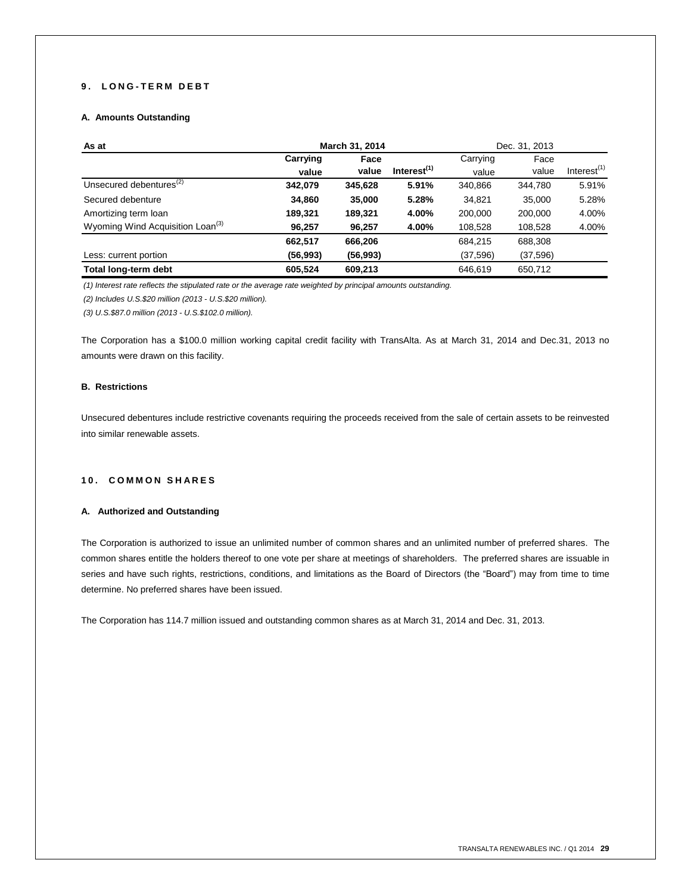## **9 . L O N G - T E R M D E B T**

## **A. Amounts Outstanding**

| As at                                        | March 31, 2014 |           |                |           | Dec. 31, 2013 |                |
|----------------------------------------------|----------------|-----------|----------------|-----------|---------------|----------------|
|                                              | Carrying       | Face      |                | Carrying  | Face          |                |
|                                              | value          | value     | Interest $(1)$ | value     | value         | Interest $(1)$ |
| Unsecured debentures <sup>(2)</sup>          | 342,079        | 345,628   | 5.91%          | 340,866   | 344.780       | 5.91%          |
| Secured debenture                            | 34,860         | 35,000    | 5.28%          | 34.821    | 35.000        | 5.28%          |
| Amortizing term loan                         | 189,321        | 189,321   | 4.00%          | 200,000   | 200,000       | 4.00%          |
| Wyoming Wind Acquisition Loan <sup>(3)</sup> | 96,257         | 96,257    | 4.00%          | 108,528   | 108,528       | 4.00%          |
|                                              | 662,517        | 666,206   |                | 684,215   | 688,308       |                |
| Less: current portion                        | (56,993)       | (56, 993) |                | (37, 596) | (37,596)      |                |
| Total long-term debt                         | 605.524        | 609.213   |                | 646.619   | 650,712       |                |

*(1) Interest rate reflects the stipulated rate or the average rate weighted by principal amounts outstanding.*

*(2) Includes U.S.\$20 million (2013 - U.S.\$20 million).*

*(3) U.S.\$87.0 million (2013 - U.S.\$102.0 million).*

The Corporation has a \$100.0 million working capital credit facility with TransAlta. As at March 31, 2014 and Dec.31, 2013 no amounts were drawn on this facility.

#### **B. Restrictions**

Unsecured debentures include restrictive covenants requiring the proceeds received from the sale of certain assets to be reinvested into similar renewable assets.

#### **1 0 . C O M M O N S H A R E S**

#### **A. Authorized and Outstanding**

The Corporation is authorized to issue an unlimited number of common shares and an unlimited number of preferred shares. The common shares entitle the holders thereof to one vote per share at meetings of shareholders. The preferred shares are issuable in series and have such rights, restrictions, conditions, and limitations as the Board of Directors (the "Board") may from time to time determine. No preferred shares have been issued.

The Corporation has 114.7 million issued and outstanding common shares as at March 31, 2014 and Dec. 31, 2013.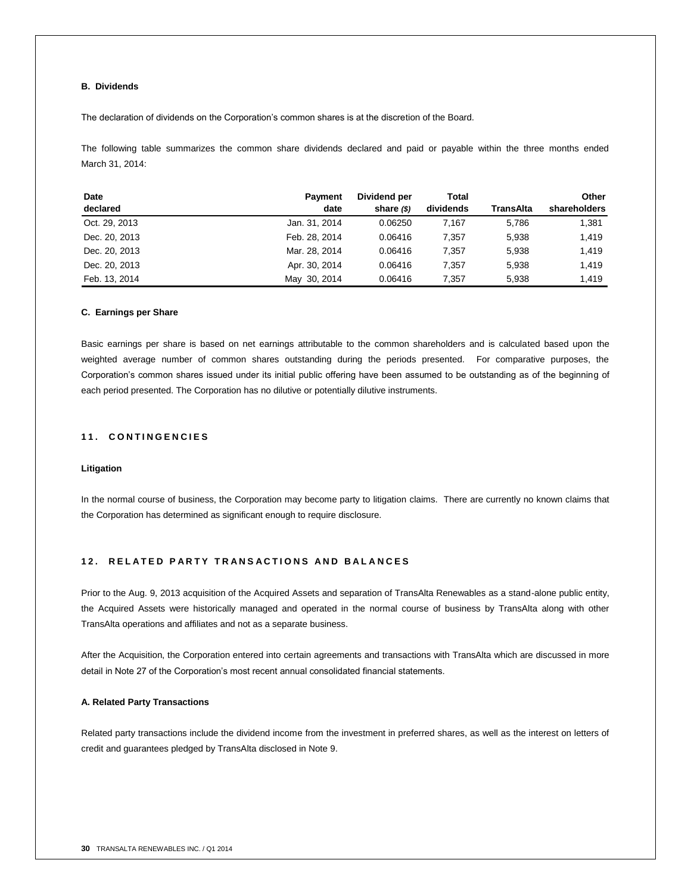## **B. Dividends**

The declaration of dividends on the Corporation's common shares is at the discretion of the Board.

The following table summarizes the common share dividends declared and paid or payable within the three months ended March 31, 2014:

| Date          | <b>Payment</b> | Dividend per | Total     |           | Other        |
|---------------|----------------|--------------|-----------|-----------|--------------|
| declared      | date           | share $(s)$  | dividends | TransAlta | shareholders |
| Oct. 29, 2013 | Jan. 31, 2014  | 0.06250      | 7.167     | 5,786     | 1,381        |
| Dec. 20, 2013 | Feb. 28, 2014  | 0.06416      | 7.357     | 5.938     | 1,419        |
| Dec. 20, 2013 | Mar. 28, 2014  | 0.06416      | 7.357     | 5,938     | 1,419        |
| Dec. 20, 2013 | Apr. 30, 2014  | 0.06416      | 7.357     | 5.938     | 1,419        |
| Feb. 13, 2014 | May 30, 2014   | 0.06416      | 7.357     | 5,938     | 1,419        |

#### **C. Earnings per Share**

Basic earnings per share is based on net earnings attributable to the common shareholders and is calculated based upon the weighted average number of common shares outstanding during the periods presented. For comparative purposes, the Corporation's common shares issued under its initial public offering have been assumed to be outstanding as of the beginning of each period presented. The Corporation has no dilutive or potentially dilutive instruments.

## **1 1 . C O N T I N G E N C I E S**

#### **Litigation**

In the normal course of business, the Corporation may become party to litigation claims. There are currently no known claims that the Corporation has determined as significant enough to require disclosure.

## **1 2 . R E L A T E D P A R T Y T R A N S A C T I O N S A N D B A L A N C E S**

Prior to the Aug. 9, 2013 acquisition of the Acquired Assets and separation of TransAlta Renewables as a stand-alone public entity, the Acquired Assets were historically managed and operated in the normal course of business by TransAlta along with other TransAlta operations and affiliates and not as a separate business.

After the Acquisition, the Corporation entered into certain agreements and transactions with TransAlta which are discussed in more detail in Note 27 of the Corporation's most recent annual consolidated financial statements.

#### **A. Related Party Transactions**

Related party transactions include the dividend income from the investment in preferred shares, as well as the interest on letters of credit and guarantees pledged by TransAlta disclosed in Note 9.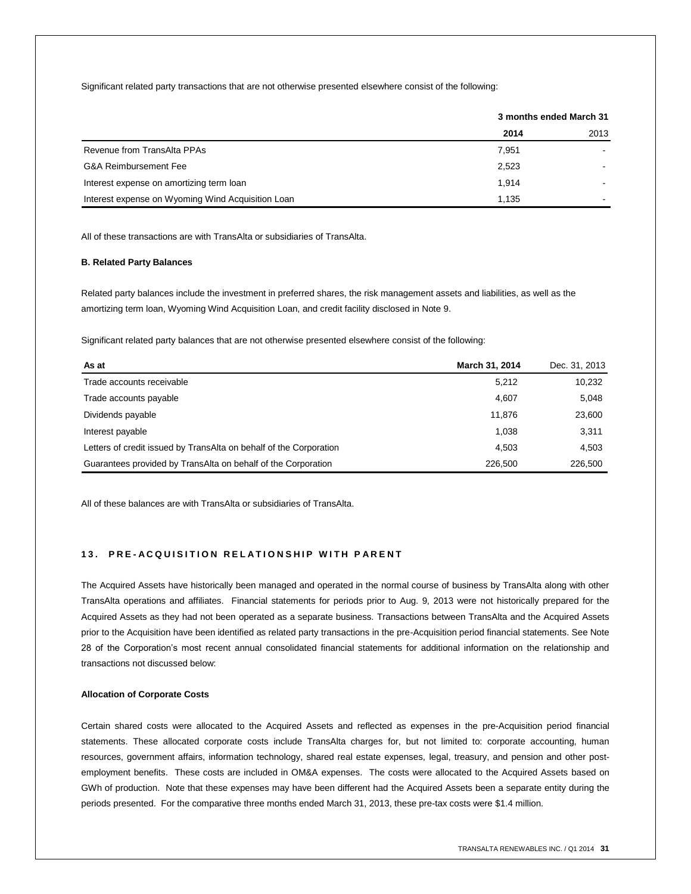Significant related party transactions that are not otherwise presented elsewhere consist of the following:

|                                                   | 3 months ended March 31 |      |  |
|---------------------------------------------------|-------------------------|------|--|
|                                                   | 2014                    | 2013 |  |
| Revenue from TransAlta PPAs                       | 7.951                   |      |  |
| <b>G&amp;A Reimbursement Fee</b>                  | 2,523                   |      |  |
| Interest expense on amortizing term loan          | 1.914                   | -    |  |
| Interest expense on Wyoming Wind Acquisition Loan | 1.135                   | -    |  |

All of these transactions are with TransAlta or subsidiaries of TransAlta.

#### **B. Related Party Balances**

Related party balances include the investment in preferred shares, the risk management assets and liabilities, as well as the amortizing term loan, Wyoming Wind Acquisition Loan, and credit facility disclosed in Note 9.

Significant related party balances that are not otherwise presented elsewhere consist of the following:

| As at                                                              | March 31, 2014 | Dec. 31, 2013 |
|--------------------------------------------------------------------|----------------|---------------|
| Trade accounts receivable                                          | 5,212          | 10,232        |
| Trade accounts payable                                             | 4,607          | 5,048         |
| Dividends payable                                                  | 11.876         | 23,600        |
| Interest payable                                                   | 1,038          | 3,311         |
| Letters of credit issued by TransAlta on behalf of the Corporation | 4.503          | 4.503         |
| Guarantees provided by TransAlta on behalf of the Corporation      | 226,500        | 226,500       |

All of these balances are with TransAlta or subsidiaries of TransAlta.

## **13. PRE-ACQUISITION RELATIONSHIP WITH PARENT**

The Acquired Assets have historically been managed and operated in the normal course of business by TransAlta along with other TransAlta operations and affiliates. Financial statements for periods prior to Aug. 9, 2013 were not historically prepared for the Acquired Assets as they had not been operated as a separate business. Transactions between TransAlta and the Acquired Assets prior to the Acquisition have been identified as related party transactions in the pre-Acquisition period financial statements. See Note 28 of the Corporation's most recent annual consolidated financial statements for additional information on the relationship and transactions not discussed below:

## **Allocation of Corporate Costs**

Certain shared costs were allocated to the Acquired Assets and reflected as expenses in the pre-Acquisition period financial statements. These allocated corporate costs include TransAlta charges for, but not limited to: corporate accounting, human resources, government affairs, information technology, shared real estate expenses, legal, treasury, and pension and other postemployment benefits. These costs are included in OM&A expenses. The costs were allocated to the Acquired Assets based on GWh of production. Note that these expenses may have been different had the Acquired Assets been a separate entity during the periods presented. For the comparative three months ended March 31, 2013, these pre-tax costs were \$1.4 million.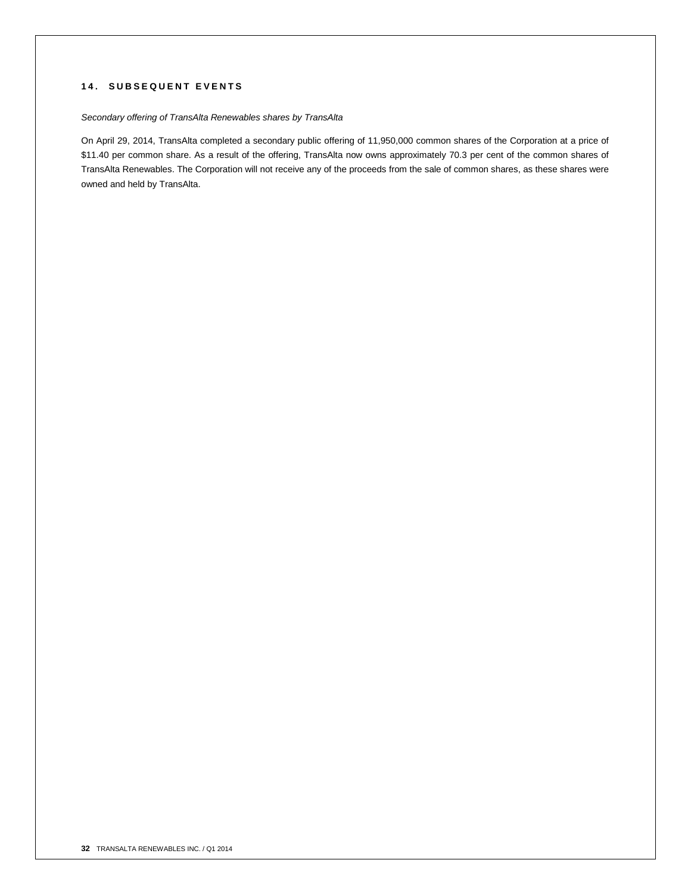## **1 4 . S U B S E Q U E N T E V E N T S**

## *Secondary offering of TransAlta Renewables shares by TransAlta*

On April 29, 2014, TransAlta completed a secondary public offering of 11,950,000 common shares of the Corporation at a price of \$11.40 per common share. As a result of the offering, TransAlta now owns approximately 70.3 per cent of the common shares of TransAlta Renewables. The Corporation will not receive any of the proceeds from the sale of common shares, as these shares were owned and held by TransAlta.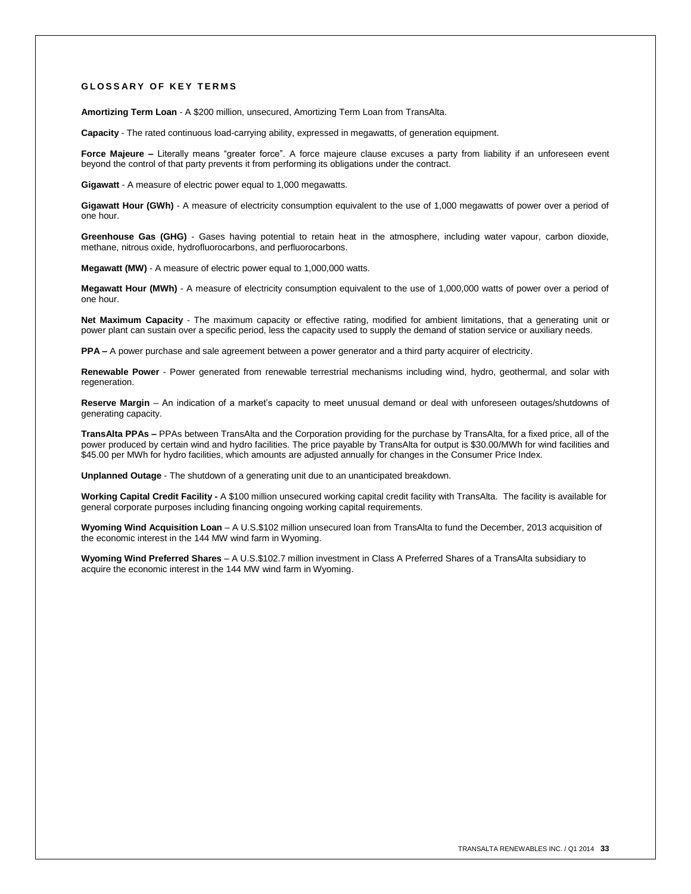#### **G L O S S A R Y O F K E Y T E R M S**

**Amortizing Term Loan** - A \$200 million, unsecured, Amortizing Term Loan from TransAlta.

**Capacity** - The rated continuous load-carrying ability, expressed in megawatts, of generation equipment.

Force Majeure – Literally means "greater force". A force majeure clause excuses a party from liability if an unforeseen event beyond the control of that party prevents it from performing its obligations under the contract.

**Gigawatt** - A measure of electric power equal to 1,000 megawatts.

**Gigawatt Hour (GWh)** - A measure of electricity consumption equivalent to the use of 1,000 megawatts of power over a period of one hour.

**Greenhouse Gas (GHG)** - Gases having potential to retain heat in the atmosphere, including water vapour, carbon dioxide, methane, nitrous oxide, hydrofluorocarbons, and perfluorocarbons.

**Megawatt (MW)** - A measure of electric power equal to 1,000,000 watts.

**Megawatt Hour (MWh)** - A measure of electricity consumption equivalent to the use of 1,000,000 watts of power over a period of one hour.

**Net Maximum Capacity** - The maximum capacity or effective rating, modified for ambient limitations, that a generating unit or power plant can sustain over a specific period, less the capacity used to supply the demand of station service or auxiliary needs.

**PPA –** A power purchase and sale agreement between a power generator and a third party acquirer of electricity.

**Renewable Power** - Power generated from renewable terrestrial mechanisms including wind, hydro, geothermal, and solar with regeneration

**Reserve Margin** – An indication of a market's capacity to meet unusual demand or deal with unforeseen outages/shutdowns of generating capacity.

**TransAlta PPAs –** PPAs between TransAlta and the Corporation providing for the purchase by TransAlta, for a fixed price, all of the power produced by certain wind and hydro facilities. The price payable by TransAlta for output is \$30.00/MWh for wind facilities and \$45.00 per MWh for hydro facilities, which amounts are adjusted annually for changes in the Consumer Price Index.

**Unplanned Outage** - The shutdown of a generating unit due to an unanticipated breakdown.

**Working Capital Credit Facility -** A \$100 million unsecured working capital credit facility with TransAlta. The facility is available for general corporate purposes including financing ongoing working capital requirements.

**Wyoming Wind Acquisition Loan** – A U.S.\$102 million unsecured loan from TransAlta to fund the December, 2013 acquisition of the economic interest in the 144 MW wind farm in Wyoming.

**Wyoming Wind Preferred Shares** – A U.S.\$102.7 million investment in Class A Preferred Shares of a TransAlta subsidiary to acquire the economic interest in the 144 MW wind farm in Wyoming.